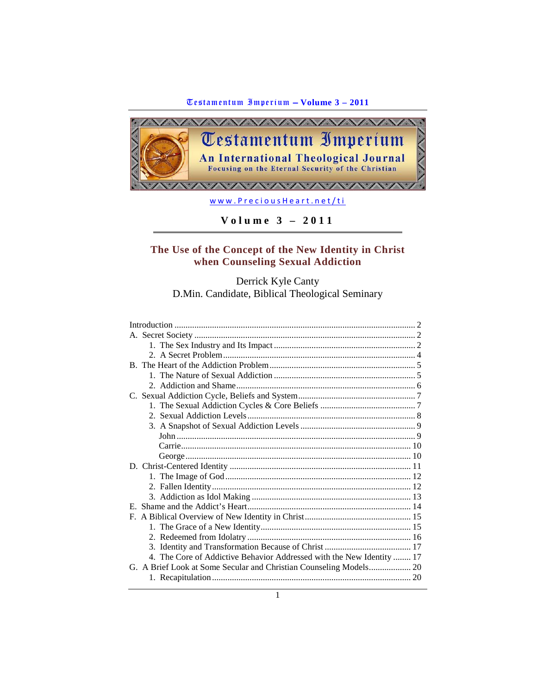

[www.PreciousHeart.net/ti](http://www.preciousheart.net/ti)

**Volume 3 – 2011**

# **The Use of the Concept of the New Identity in Christ when Counseling Sexual Addiction**

Derrick Kyle Canty D.Min. Candidate, Biblical Theological Seminary

| 4. The Core of Addictive Behavior Addressed with the New Identity  17 |
|-----------------------------------------------------------------------|
| G. A Brief Look at Some Secular and Christian Counseling Models 20    |
|                                                                       |
|                                                                       |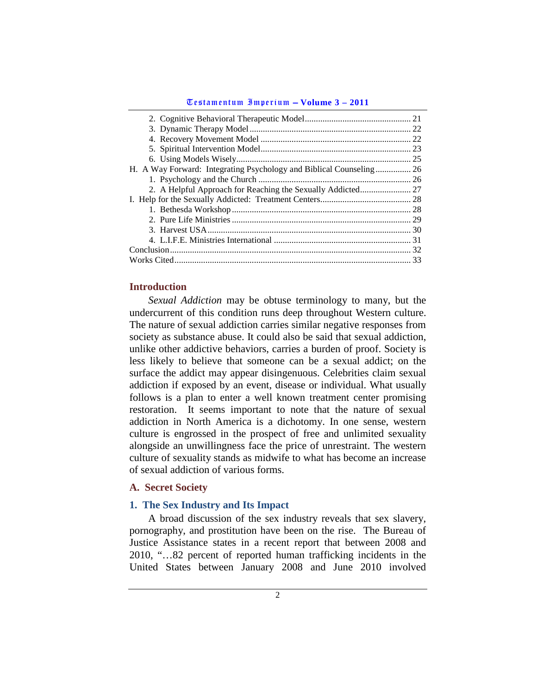|                                                                     | 25 |
|---------------------------------------------------------------------|----|
| H. A Way Forward: Integrating Psychology and Biblical Counseling 26 |    |
|                                                                     |    |
|                                                                     |    |
|                                                                     |    |
|                                                                     |    |
|                                                                     |    |
|                                                                     |    |
|                                                                     |    |
|                                                                     |    |
|                                                                     | 33 |

## <span id="page-1-0"></span>**Introduction**

*Sexual Addiction* may be obtuse terminology to many, but the undercurrent of this condition runs deep throughout Western culture. The nature of sexual addiction carries similar negative responses from society as substance abuse. It could also be said that sexual addiction, unlike other addictive behaviors, carries a burden of proof. Society is less likely to believe that someone can be a sexual addict; on the surface the addict may appear disingenuous. Celebrities claim sexual addiction if exposed by an event, disease or individual. What usually follows is a plan to enter a well known treatment center promising restoration. It seems important to note that the nature of sexual addiction in North America is a dichotomy. In one sense, western culture is engrossed in the prospect of free and unlimited sexuality alongside an unwillingness face the price of unrestraint. The western culture of sexuality stands as midwife to what has become an increase of sexual addiction of various forms.

## <span id="page-1-1"></span>**A. Secret Society**

## <span id="page-1-2"></span>**1. The Sex Industry and Its Impact**

A broad discussion of the sex industry reveals that sex slavery, pornography, and prostitution have been on the rise. The Bureau of Justice Assistance states in a recent report that between 2008 and 2010, "…82 percent of reported human trafficking incidents in the United States between January 2008 and June 2010 involved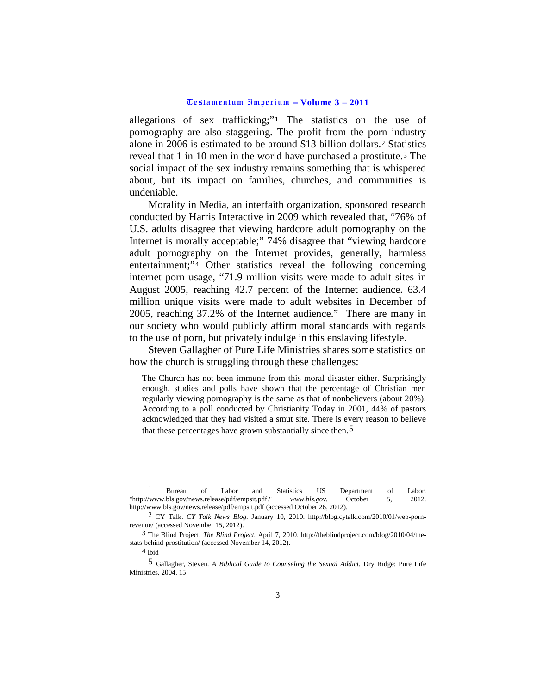allegations of sex trafficking;"[1](#page-2-0) The statistics on the use of pornography are also staggering. The profit from the porn industry alone in 2006 is estimated to be around \$13 billion dollars.[2](#page-2-1) Statistics reveal that 1 in 10 men in the world have purchased a prostitute.[3](#page-2-2) The social impact of the sex industry remains something that is whispered about, but its impact on families, churches, and communities is undeniable.

Morality in Media, an interfaith organization, sponsored research conducted by Harris Interactive in 2009 which revealed that, "76% of U.S. adults disagree that viewing hardcore adult pornography on the Internet is morally acceptable;" 74% disagree that "viewing hardcore adult pornography on the Internet provides, generally, harmless entertainment;"[4](#page-2-3) Other statistics reveal the following concerning internet porn usage, "71.9 million visits were made to adult sites in August 2005, reaching 42.7 percent of the Internet audience. 63.4 million unique visits were made to adult websites in December of 2005, reaching 37.2% of the Internet audience." There are many in our society who would publicly affirm moral standards with regards to the use of porn, but privately indulge in this enslaving lifestyle.

Steven Gallagher of Pure Life Ministries shares some statistics on how the church is struggling through these challenges:

The Church has not been immune from this moral disaster either. Surprisingly enough, studies and polls have shown that the percentage of Christian men regularly viewing pornography is the same as that of nonbelievers (about 20%). According to a poll conducted by Christianity Today in 2001, 44% of pastors acknowledged that they had visited a smut site. There is every reason to believe that these percentages have grown substantially since then.[5](#page-2-4)

<span id="page-2-0"></span> <sup>1</sup> Bureau of Labor and Statistics US Department of Labor. "http://www.bls.gov/news.release/pdf/empsit.pdf." *www.bls.gov.* October 5, 2012. http://www.bls.gov/news.release/pdf/empsit.pdf (accessed October 26, 2012).

<span id="page-2-1"></span><sup>2</sup> CY Talk. *CY Talk News Blog.* January 10, 2010. http://blog.cytalk.com/2010/01/web-pornrevenue/ (accessed November 15, 2012).

<span id="page-2-2"></span><sup>3</sup> The Blind Project. *The Blind Project.* April 7, 2010. http://theblindproject.com/blog/2010/04/thestats-behind-prostitution/ (accessed November 14, 2012).

<sup>4</sup> Ibid

<span id="page-2-4"></span><span id="page-2-3"></span><sup>5</sup> Gallagher, Steven. *A Biblical Guide to Counseling the Sexual Addict.* Dry Ridge: Pure Life Ministries, 2004. 15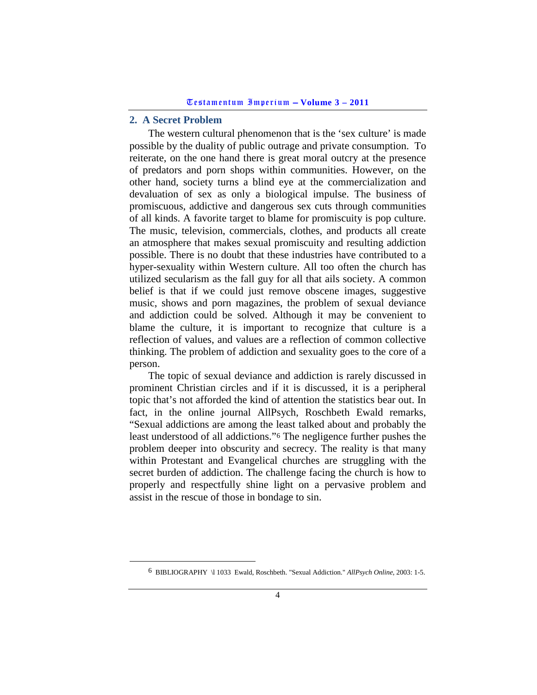### <span id="page-3-0"></span>**2. A Secret Problem**

The western cultural phenomenon that is the 'sex culture' is made possible by the duality of public outrage and private consumption. To reiterate, on the one hand there is great moral outcry at the presence of predators and porn shops within communities. However, on the other hand, society turns a blind eye at the commercialization and devaluation of sex as only a biological impulse. The business of promiscuous, addictive and dangerous sex cuts through communities of all kinds. A favorite target to blame for promiscuity is pop culture. The music, television, commercials, clothes, and products all create an atmosphere that makes sexual promiscuity and resulting addiction possible. There is no doubt that these industries have contributed to a hyper-sexuality within Western culture. All too often the church has utilized secularism as the fall guy for all that ails society. A common belief is that if we could just remove obscene images, suggestive music, shows and porn magazines, the problem of sexual deviance and addiction could be solved. Although it may be convenient to blame the culture, it is important to recognize that culture is a reflection of values, and values are a reflection of common collective thinking. The problem of addiction and sexuality goes to the core of a person.

The topic of sexual deviance and addiction is rarely discussed in prominent Christian circles and if it is discussed, it is a peripheral topic that's not afforded the kind of attention the statistics bear out. In fact, in the online journal AllPsych, Roschbeth Ewald remarks, "Sexual addictions are among the least talked about and probably the least understood of all addictions."[6](#page-3-1) The negligence further pushes the problem deeper into obscurity and secrecy. The reality is that many within Protestant and Evangelical churches are struggling with the secret burden of addiction. The challenge facing the church is how to properly and respectfully shine light on a pervasive problem and assist in the rescue of those in bondage to sin.

<span id="page-3-1"></span> <sup>6</sup> BIBLIOGRAPHY \l 1033 Ewald, Roschbeth. "Sexual Addiction." *AllPsych Online*, 2003: 1-5.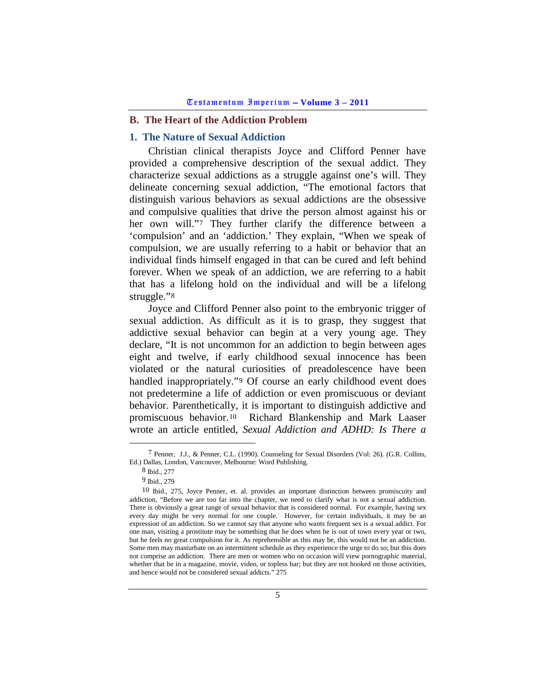## <span id="page-4-0"></span>**B. The Heart of the Addiction Problem**

## <span id="page-4-1"></span>**1. The Nature of Sexual Addiction**

Christian clinical therapists Joyce and Clifford Penner have provided a comprehensive description of the sexual addict. They characterize sexual addictions as a struggle against one's will. They delineate concerning sexual addiction, "The emotional factors that distinguish various behaviors as sexual addictions are the obsessive and compulsive qualities that drive the person almost against his or her own will."[7](#page-4-2) They further clarify the difference between a 'compulsion' and an 'addiction.' They explain, "When we speak of compulsion, we are usually referring to a habit or behavior that an individual finds himself engaged in that can be cured and left behind forever. When we speak of an addiction, we are referring to a habit that has a lifelong hold on the individual and will be a lifelong struggle."<sup>[8](#page-4-3)</sup>

Joyce and Clifford Penner also point to the embryonic trigger of sexual addiction. As difficult as it is to grasp, they suggest that addictive sexual behavior can begin at a very young age. They declare, "It is not uncommon for an addiction to begin between ages eight and twelve, if early childhood sexual innocence has been violated or the natural curiosities of preadolescence have been handled inappropriately."<sup>[9](#page-4-4)</sup> Of course an early childhood event does not predetermine a life of addiction or even promiscuous or deviant behavior. Parenthetically, it is important to distinguish addictive and promiscuous behavior.[10](#page-4-5) Richard Blankenship and Mark Laaser wrote an article entitled, *Sexual Addiction and ADHD: Is There a* 

<span id="page-4-3"></span><span id="page-4-2"></span> <sup>7</sup> Penner, J.J., & Penner, C.L. (1990). Counseling for Sexual Disorders (Vol: 26). (G.R. Collins, Ed.) Dallas, London, Vancouver, Melbourne: Word Publishing.

<sup>8</sup> Ibid., 277

<sup>9</sup> Ibid., 279

<span id="page-4-5"></span><span id="page-4-4"></span><sup>10</sup> Ibid., 275, Joyce Penner, et. al. provides an important distinction between promiscuity and addiction, "Before we are too far into the chapter, we need to clarify what is not a sexual addiction. There is obviously a great range of sexual behavior that is considered normal. For example, having sex every day might be very normal for one couple. However, for certain individuals, it may be an expression of an addiction. So we cannot say that anyone who wants frequent sex is a sexual addict. For one man, visiting a prostitute may be something that he does when he is out of town every year or two, but he feels no great compulsion for it. As reprehensible as this may be, this would not be an addiction. Some men may masturbate on an intermittent schedule as they experience the urge to do so; but this does not comprise an addiction. There are men or women who on occasion will view pornographic material, whether that be in a magazine, movie, video, or topless bar; but they are not hooked on those activities, and hence would not be considered sexual addicts." 275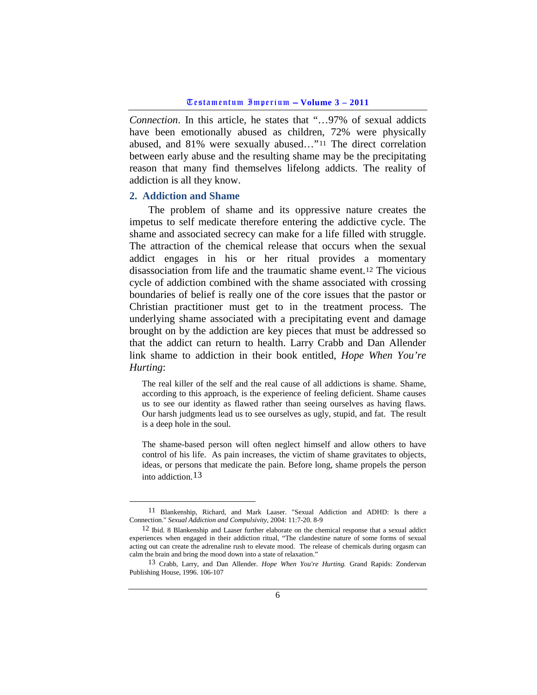*Connection*. In this article, he states that "…97% of sexual addicts have been emotionally abused as children, 72% were physically abused, and 81% were sexually abused…"[11](#page-5-1) The direct correlation between early abuse and the resulting shame may be the precipitating reason that many find themselves lifelong addicts. The reality of addiction is all they know.

#### <span id="page-5-0"></span>**2. Addiction and Shame**

The problem of shame and its oppressive nature creates the impetus to self medicate therefore entering the addictive cycle. The shame and associated secrecy can make for a life filled with struggle. The attraction of the chemical release that occurs when the sexual addict engages in his or her ritual provides a momentary disassociation from life and the traumatic shame event.[12](#page-5-2) The vicious cycle of addiction combined with the shame associated with crossing boundaries of belief is really one of the core issues that the pastor or Christian practitioner must get to in the treatment process. The underlying shame associated with a precipitating event and damage brought on by the addiction are key pieces that must be addressed so that the addict can return to health. Larry Crabb and Dan Allender link shame to addiction in their book entitled, *Hope When You're Hurting*:

The real killer of the self and the real cause of all addictions is shame. Shame, according to this approach, is the experience of feeling deficient. Shame causes us to see our identity as flawed rather than seeing ourselves as having flaws. Our harsh judgments lead us to see ourselves as ugly, stupid, and fat. The result is a deep hole in the soul.

The shame-based person will often neglect himself and allow others to have control of his life. As pain increases, the victim of shame gravitates to objects, ideas, or persons that medicate the pain. Before long, shame propels the person into addiction.[13](#page-5-3)

<span id="page-5-1"></span> <sup>11</sup> Blankenship, Richard, and Mark Laaser. "Sexual Addiction and ADHD: Is there a Connection." *Sexual Addiction and Compulsivity*, 2004: 11:7-20. 8-9

<span id="page-5-2"></span><sup>12</sup> Ibid. 8 Blankenship and Laaser further elaborate on the chemical response that a sexual addict experiences when engaged in their addiction ritual, "The clandestine nature of some forms of sexual acting out can create the adrenaline rush to elevate mood. The release of chemicals during orgasm can calm the brain and bring the mood down into a state of relaxation."

<span id="page-5-3"></span><sup>13</sup> Crabb, Larry, and Dan Allender. *Hope When You're Hurting.* Grand Rapids: Zondervan Publishing House, 1996. 106-107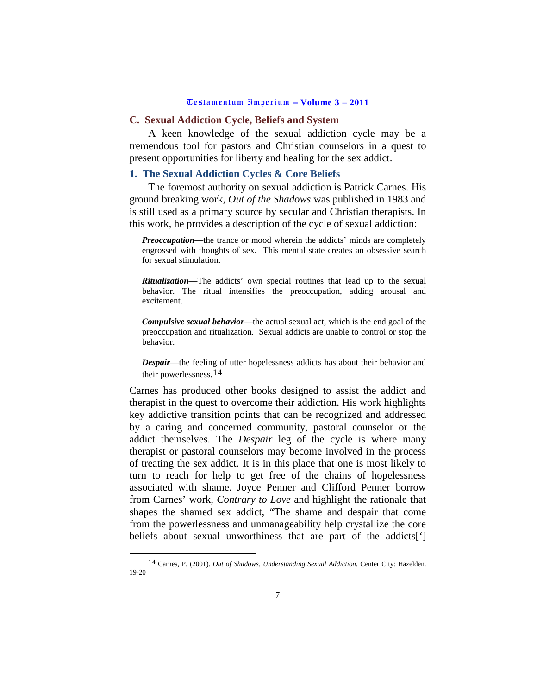# <span id="page-6-0"></span>**C. Sexual Addiction Cycle, Beliefs and System**

A keen knowledge of the sexual addiction cycle may be a tremendous tool for pastors and Christian counselors in a quest to present opportunities for liberty and healing for the sex addict.

# <span id="page-6-1"></span>**1. The Sexual Addiction Cycles & Core Beliefs**

The foremost authority on sexual addiction is Patrick Carnes. His ground breaking work, *Out of the Shadows* was published in 1983 and is still used as a primary source by secular and Christian therapists. In this work, he provides a description of the cycle of sexual addiction:

*Preoccupation***—the trance or mood wherein the addicts' minds are completely** engrossed with thoughts of sex. This mental state creates an obsessive search for sexual stimulation.

*Ritualization*—The addicts' own special routines that lead up to the sexual behavior. The ritual intensifies the preoccupation, adding arousal and excitement.

*Compulsive sexual behavior*—the actual sexual act, which is the end goal of the preoccupation and ritualization. Sexual addicts are unable to control or stop the behavior.

*Despair*—the feeling of utter hopelessness addicts has about their behavior and their powerlessness.[14](#page-6-2)

Carnes has produced other books designed to assist the addict and therapist in the quest to overcome their addiction. His work highlights key addictive transition points that can be recognized and addressed by a caring and concerned community, pastoral counselor or the addict themselves. The *Despair* leg of the cycle is where many therapist or pastoral counselors may become involved in the process of treating the sex addict. It is in this place that one is most likely to turn to reach for help to get free of the chains of hopelessness associated with shame. Joyce Penner and Clifford Penner borrow from Carnes' work, *Contrary to Love* and highlight the rationale that shapes the shamed sex addict, "The shame and despair that come from the powerlessness and unmanageability help crystallize the core beliefs about sexual unworthiness that are part of the addicts[']

<span id="page-6-2"></span> <sup>14</sup> Carnes, P. (2001). *Out of Shadows, Understanding Sexual Addiction.* Center City: Hazelden. 19-20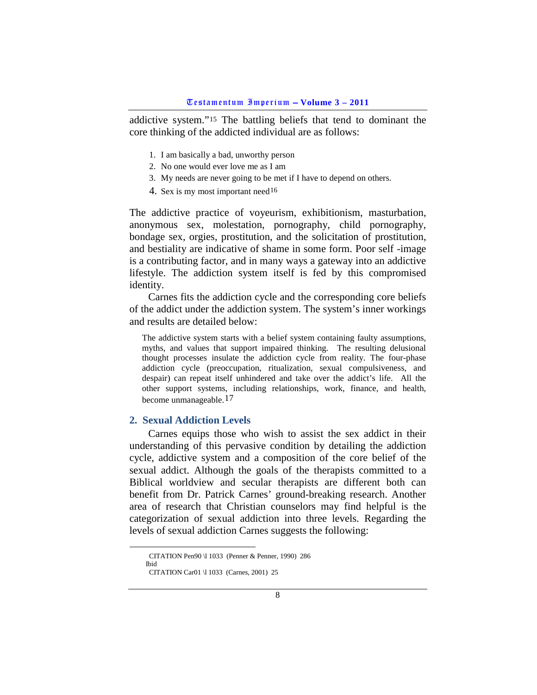addictive system."[15](#page-7-1) The battling beliefs that tend to dominant the core thinking of the addicted individual are as follows:

- 1. I am basically a bad, unworthy person
- 2. No one would ever love me as I am
- 3. My needs are never going to be met if I have to depend on others.
- 4. Sex is my most important need<sup>[16](#page-7-2)</sup>

The addictive practice of voyeurism, exhibitionism, masturbation, anonymous sex, molestation, pornography, child pornography, bondage sex, orgies, prostitution, and the solicitation of prostitution, and bestiality are indicative of shame in some form. Poor self -image is a contributing factor, and in many ways a gateway into an addictive lifestyle. The addiction system itself is fed by this compromised identity.

Carnes fits the addiction cycle and the corresponding core beliefs of the addict under the addiction system. The system's inner workings and results are detailed below:

The addictive system starts with a belief system containing faulty assumptions, myths, and values that support impaired thinking. The resulting delusional thought processes insulate the addiction cycle from reality. The four-phase addiction cycle (preoccupation, ritualization, sexual compulsiveness, and despair) can repeat itself unhindered and take over the addict's life. All the other support systems, including relationships, work, finance, and health, become unmanageable.[17](#page-7-3)

## <span id="page-7-0"></span>**2. Sexual Addiction Levels**

Carnes equips those who wish to assist the sex addict in their understanding of this pervasive condition by detailing the addiction cycle, addictive system and a composition of the core belief of the sexual addict. Although the goals of the therapists committed to a Biblical worldview and secular therapists are different both can benefit from Dr. Patrick Carnes' ground-breaking research. Another area of research that Christian counselors may find helpful is the categorization of sexual addiction into three levels. Regarding the levels of sexual addiction Carnes suggests the following:

<span id="page-7-3"></span><span id="page-7-2"></span><span id="page-7-1"></span>CITATION Pen90 \l 1033 (Penner & Penner, 1990) <sup>286</sup> Ibid

CITATION Car01 \l 1033 (Carnes, 2001) 25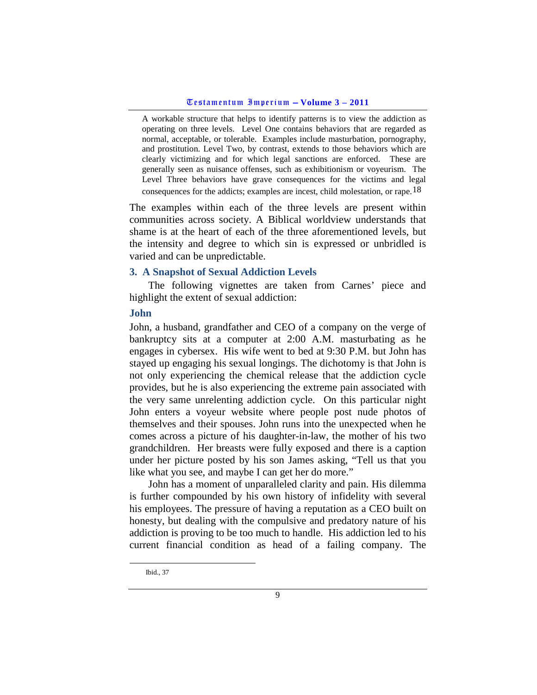A workable structure that helps to identify patterns is to view the addiction as operating on three levels. Level One contains behaviors that are regarded as normal, acceptable, or tolerable. Examples include masturbation, pornography, and prostitution. Level Two, by contrast, extends to those behaviors which are clearly victimizing and for which legal sanctions are enforced. These are generally seen as nuisance offenses, such as exhibitionism or voyeurism. The Level Three behaviors have grave consequences for the victims and legal consequences for the addicts; examples are incest, child molestation, or rape.[18](#page-8-2)

The examples within each of the three levels are present within communities across society. A Biblical worldview understands that shame is at the heart of each of the three aforementioned levels, but the intensity and degree to which sin is expressed or unbridled is varied and can be unpredictable.

## <span id="page-8-0"></span>**3. A Snapshot of Sexual Addiction Levels**

The following vignettes are taken from Carnes' piece and highlight the extent of sexual addiction:

### <span id="page-8-1"></span>**John**

John, a husband, grandfather and CEO of a company on the verge of bankruptcy sits at a computer at 2:00 A.M. masturbating as he engages in cybersex. His wife went to bed at 9:30 P.M. but John has stayed up engaging his sexual longings. The dichotomy is that John is not only experiencing the chemical release that the addiction cycle provides, but he is also experiencing the extreme pain associated with the very same unrelenting addiction cycle. On this particular night John enters a voyeur website where people post nude photos of themselves and their spouses. John runs into the unexpected when he comes across a picture of his daughter-in-law, the mother of his two grandchildren. Her breasts were fully exposed and there is a caption under her picture posted by his son James asking, "Tell us that you like what you see, and maybe I can get her do more."

John has a moment of unparalleled clarity and pain. His dilemma is further compounded by his own history of infidelity with several his employees. The pressure of having a reputation as a CEO built on honesty, but dealing with the compulsive and predatory nature of his addiction is proving to be too much to handle. His addiction led to his current financial condition as head of a failing company. The

<span id="page-8-2"></span>Ibid., 37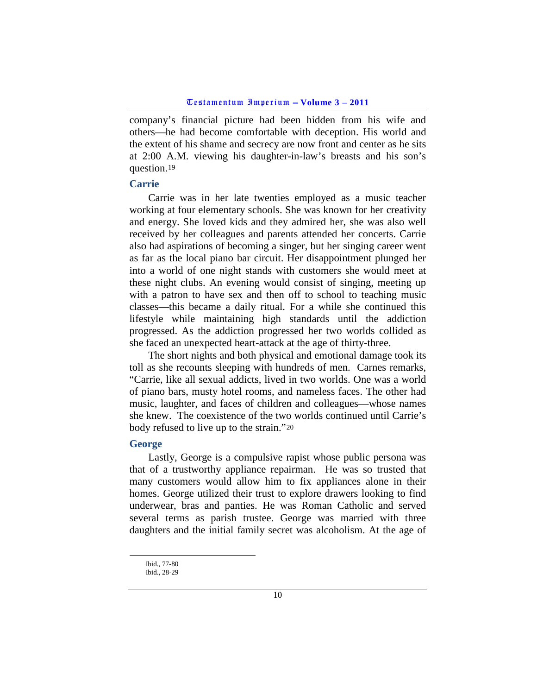company's financial picture had been hidden from his wife and others—he had become comfortable with deception. His world and the extent of his shame and secrecy are now front and center as he sits at 2:00 A.M. viewing his daughter-in-law's breasts and his son's question.[19](#page-9-2)

### <span id="page-9-0"></span>**Carrie**

Carrie was in her late twenties employed as a music teacher working at four elementary schools. She was known for her creativity and energy. She loved kids and they admired her, she was also well received by her colleagues and parents attended her concerts. Carrie also had aspirations of becoming a singer, but her singing career went as far as the local piano bar circuit. Her disappointment plunged her into a world of one night stands with customers she would meet at these night clubs. An evening would consist of singing, meeting up with a patron to have sex and then off to school to teaching music classes—this became a daily ritual. For a while she continued this lifestyle while maintaining high standards until the addiction progressed. As the addiction progressed her two worlds collided as she faced an unexpected heart-attack at the age of thirty-three.

The short nights and both physical and emotional damage took its toll as she recounts sleeping with hundreds of men. Carnes remarks, "Carrie, like all sexual addicts, lived in two worlds. One was a world of piano bars, musty hotel rooms, and nameless faces. The other had music, laughter, and faces of children and colleagues—whose names she knew. The coexistence of the two worlds continued until Carrie's body refused to live up to the strain."[20](#page-9-3)

## <span id="page-9-1"></span>**George**

Lastly, George is a compulsive rapist whose public persona was that of a trustworthy appliance repairman. He was so trusted that many customers would allow him to fix appliances alone in their homes. George utilized their trust to explore drawers looking to find underwear, bras and panties. He was Roman Catholic and served several terms as parish trustee. George was married with three daughters and the initial family secret was alcoholism. At the age of

Ibid., 77-80 Ibid., 28-29

<span id="page-9-3"></span><span id="page-9-2"></span>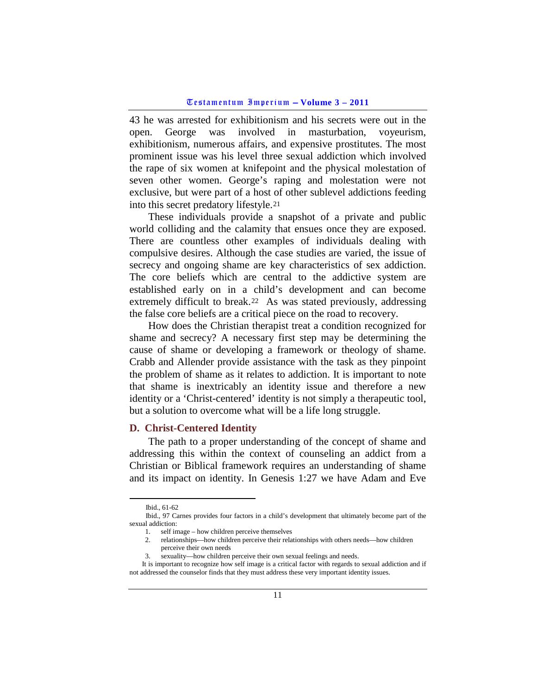43 he was arrested for exhibitionism and his secrets were out in the open. George was involved in masturbation, voyeurism, exhibitionism, numerous affairs, and expensive prostitutes. The most prominent issue was his level three sexual addiction which involved the rape of six women at knifepoint and the physical molestation of seven other women. George's raping and molestation were not exclusive, but were part of a host of other sublevel addictions feeding into this secret predatory lifestyle.[21](#page-10-1)

These individuals provide a snapshot of a private and public world colliding and the calamity that ensues once they are exposed. There are countless other examples of individuals dealing with compulsive desires. Although the case studies are varied, the issue of secrecy and ongoing shame are key characteristics of sex addiction. The core beliefs which are central to the addictive system are established early on in a child's development and can become extremely difficult to break.[22](#page-10-2) As was stated previously, addressing the false core beliefs are a critical piece on the road to recovery.

How does the Christian therapist treat a condition recognized for shame and secrecy? A necessary first step may be determining the cause of shame or developing a framework or theology of shame. Crabb and Allender provide assistance with the task as they pinpoint the problem of shame as it relates to addiction. It is important to note that shame is inextricably an identity issue and therefore a new identity or a 'Christ-centered' identity is not simply a therapeutic tool, but a solution to overcome what will be a life long struggle.

#### <span id="page-10-0"></span>**D. Christ-Centered Identity**

The path to a proper understanding of the concept of shame and addressing this within the context of counseling an addict from a Christian or Biblical framework requires an understanding of shame and its impact on identity. In Genesis 1:27 we have Adam and Eve

Ibid., 61-62

<span id="page-10-2"></span><span id="page-10-1"></span>Ibid., 97 Carnes provides four factors in a child's development that ultimately become part of the sexual addiction:

<sup>1.</sup> self image – how children perceive themselves

<sup>2.</sup> relationships—how children perceive their relationships with others needs—how children perceive their own needs

<sup>3.</sup> sexuality—how children perceive their own sexual feelings and needs.

It is important to recognize how self image is a critical factor with regards to sexual addiction and if not addressed the counselor finds that they must address these very important identity issues.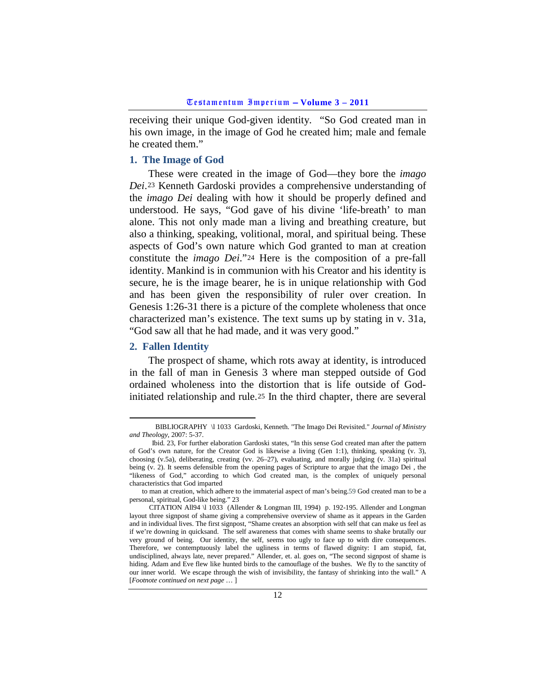receiving their unique God-given identity. "So God created man in his own image, in the image of God he created him; male and female he created them."

#### <span id="page-11-0"></span>**1. The Image of God**

These were created in the image of God—they bore the *imago Dei*.[23](#page-11-2) Kenneth Gardoski provides a comprehensive understanding of the *imago Dei* dealing with how it should be properly defined and understood. He says, "God gave of his divine 'life-breath' to man alone. This not only made man a living and breathing creature, but also a thinking, speaking, volitional, moral, and spiritual being. These aspects of God's own nature which God granted to man at creation constitute the *imago Dei*."[24](#page-11-3) Here is the composition of a pre-fall identity. Mankind is in communion with his Creator and his identity is secure, he is the image bearer, he is in unique relationship with God and has been given the responsibility of ruler over creation. In Genesis 1:26-31 there is a picture of the complete wholeness that once characterized man's existence. The text sums up by stating in v. 31a, "God saw all that he had made, and it was very good."

## <span id="page-11-1"></span>**2. Fallen Identity**

The prospect of shame, which rots away at identity, is introduced in the fall of man in Genesis 3 where man stepped outside of God ordained wholeness into the distortion that is life outside of Godinitiated relationship and rule.[25](#page-11-4) In the third chapter, there are several

<span id="page-11-2"></span>BIBLIOGRAPHY \l 1033 Gardoski, Kenneth. "The Imago Dei Revisited." *Journal of Ministry and Theology*, 2007: 5-37.

<span id="page-11-3"></span>Ibid. 23, For further elaboration Gardoski states, "In this sense God created man after the pattern of God's own nature, for the Creator God is likewise a living (Gen 1:1), thinking, speaking (v. 3), choosing (v.5a), deliberating, creating (vv. 26–27), evaluating, and morally judging (v. 31a) spiritual being (v. 2). It seems defensible from the opening pages of Scripture to argue that the imago Dei , the "likeness of God," according to which God created man, is the complex of uniquely personal characteristics that God imparted

to man at creation, which adhere to the immaterial aspect of man's being.59 God created man to be a personal, spiritual, God-like being." 23

<span id="page-11-4"></span>CITATION All94 \l 1033 (Allender & Longman III, 1994) p. 192-195. Allender and Longman layout three signpost of shame giving a comprehensive overview of shame as it appears in the Garden and in individual lives. The first signpost, "Shame creates an absorption with self that can make us feel as if we're downing in quicksand. The self awareness that comes with shame seems to shake brutally our very ground of being. Our identity, the self, seems too ugly to face up to with dire consequences. Therefore, we contemptuously label the ugliness in terms of flawed dignity: I am stupid, fat, undisciplined, always late, never prepared." Allender, et. al. goes on, "The second signpost of shame is hiding. Adam and Eve flew like hunted birds to the camouflage of the bushes. We fly to the sanctity of our inner world. We escape through the wish of invisibility, the fantasy of shrinking into the wall." A [*Footnote continued on next page* … ]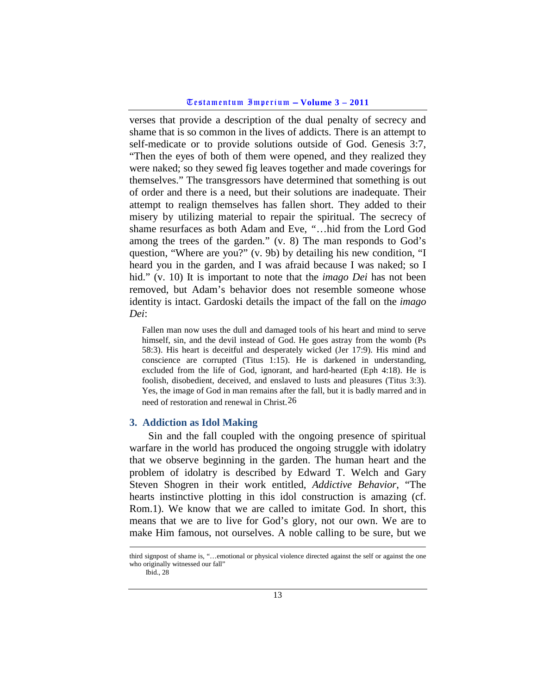verses that provide a description of the dual penalty of secrecy and shame that is so common in the lives of addicts. There is an attempt to self-medicate or to provide solutions outside of God. Genesis 3:7, "Then the eyes of both of them were opened, and they realized they were naked; so they sewed fig leaves together and made coverings for themselves." The transgressors have determined that something is out of order and there is a need, but their solutions are inadequate. Their attempt to realign themselves has fallen short. They added to their misery by utilizing material to repair the spiritual. The secrecy of shame resurfaces as both Adam and Eve, *"*…hid from the Lord God among the trees of the garden*.*" (v. 8) The man responds to God's question, "Where are you?" (v. 9b) by detailing his new condition, "I heard you in the garden, and I was afraid because I was naked; so I hid." (v. 10) It is important to note that the *imago Dei* has not been removed, but Adam's behavior does not resemble someone whose identity is intact. Gardoski details the impact of the fall on the *imago Dei*:

Fallen man now uses the dull and damaged tools of his heart and mind to serve himself, sin, and the devil instead of God. He goes astray from the womb (Ps) 58:3). His heart is deceitful and desperately wicked (Jer 17:9). His mind and conscience are corrupted (Titus 1:15). He is darkened in understanding, excluded from the life of God, ignorant, and hard-hearted (Eph 4:18). He is foolish, disobedient, deceived, and enslaved to lusts and pleasures (Titus 3:3). Yes, the image of God in man remains after the fall, but it is badly marred and in need of restoration and renewal in Christ.[26](#page-12-1)

## <span id="page-12-0"></span>**3. Addiction as Idol Making**

Sin and the fall coupled with the ongoing presence of spiritual warfare in the world has produced the ongoing struggle with idolatry that we observe beginning in the garden. The human heart and the problem of idolatry is described by Edward T. Welch and Gary Steven Shogren in their work entitled, *Addictive Behavior*, "The hearts instinctive plotting in this idol construction is amazing (cf. Rom.1). We know that we are called to imitate God. In short, this means that we are to live for God's glory, not our own. We are to make Him famous, not ourselves. A noble calling to be sure, but we

<span id="page-12-1"></span>third signpost of shame is, "…emotional or physical violence directed against the self or against the one who originally witnessed our fall"

Ibid., 28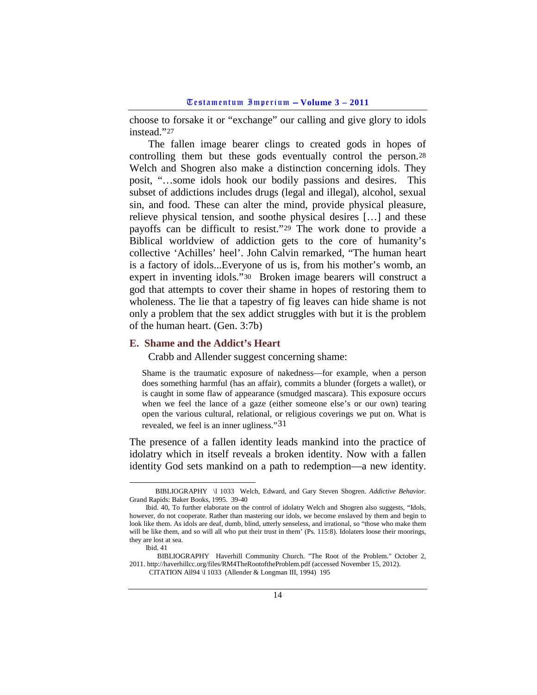choose to forsake it or "exchange" our calling and give glory to idols instead."[27](#page-13-1)

The fallen image bearer clings to created gods in hopes of controlling them but these gods eventually control the person.[28](#page-13-2) Welch and Shogren also make a distinction concerning idols. They posit, "…some idols hook our bodily passions and desires. This subset of addictions includes drugs (legal and illegal), alcohol, sexual sin, and food. These can alter the mind, provide physical pleasure, relieve physical tension, and soothe physical desires […] and these payoffs can be difficult to resist."[29](#page-13-3) The work done to provide a Biblical worldview of addiction gets to the core of humanity's collective 'Achilles' heel'. John Calvin remarked, "The human heart is a factory of idols...Everyone of us is, from his mother's womb, an expert in inventing idols."[30](#page-13-4) Broken image bearers will construct a god that attempts to cover their shame in hopes of restoring them to wholeness. The lie that a tapestry of fig leaves can hide shame is not only a problem that the sex addict struggles with but it is the problem of the human heart. (Gen. 3:7b)

### <span id="page-13-0"></span>**E. Shame and the Addict's Heart**

Crabb and Allender suggest concerning shame:

Shame is the traumatic exposure of nakedness—for example, when a person does something harmful (has an affair), commits a blunder (forgets a wallet), or is caught in some flaw of appearance (smudged mascara). This exposure occurs when we feel the lance of a gaze (either someone else's or our own) tearing open the various cultural, relational, or religious coverings we put on. What is revealed, we feel is an inner ugliness."[31](#page-13-5)

The presence of a fallen identity leads mankind into the practice of idolatry which in itself reveals a broken identity. Now with a fallen identity God sets mankind on a path to redemption—a new identity.

<span id="page-13-1"></span>BIBLIOGRAPHY \l 1033 Welch, Edward, and Gary Steven Shogren. *Addictive Behavior.* Grand Rapids: Baker Books, 1995. 39-40

<span id="page-13-2"></span>Ibid. 40, To further elaborate on the control of idolatry Welch and Shogren also suggests, "Idols, however, do not cooperate. Rather than mastering our idols, we become enslaved by them and begin to look like them. As idols are deaf, dumb, blind, utterly senseless, and irrational, so "those who make them will be like them, and so will all who put their trust in them' (Ps. 115:8). Idolaters loose their moorings, they are lost at sea.

Ibid. 41

<span id="page-13-5"></span><span id="page-13-4"></span><span id="page-13-3"></span>BIBLIOGRAPHY Haverhill Community Church. "The Root of the Problem." October 2, 2011. http://haverhillcc.org/files/RM4TheRootoftheProblem.pdf (accessed November 15, 2012). CITATION All94 \l 1033 (Allender & Longman III, 1994) 195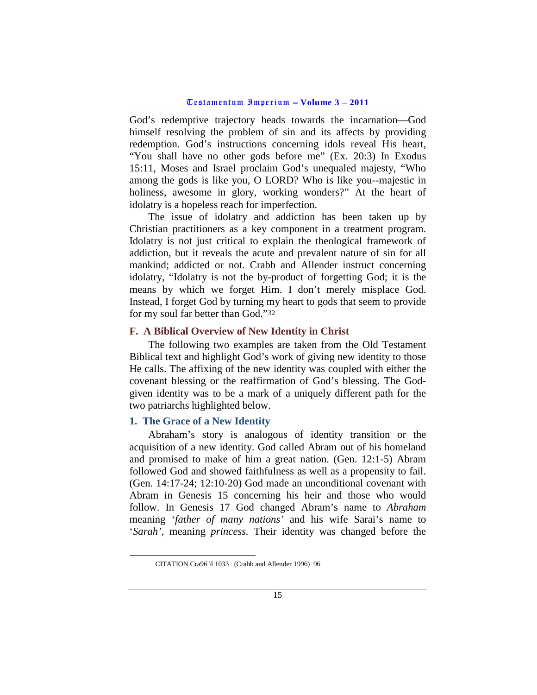God's redemptive trajectory heads towards the incarnation—God himself resolving the problem of sin and its affects by providing redemption. God's instructions concerning idols reveal His heart, "You shall have no other gods before me" (Ex. 20:3) In Exodus 15:11, Moses and Israel proclaim God's unequaled majesty, "Who among the gods is like you, O LORD? Who is like you--majestic in holiness, awesome in glory, working wonders?" At the heart of idolatry is a hopeless reach for imperfection.

The issue of idolatry and addiction has been taken up by Christian practitioners as a key component in a treatment program. Idolatry is not just critical to explain the theological framework of addiction, but it reveals the acute and prevalent nature of sin for all mankind; addicted or not. Crabb and Allender instruct concerning idolatry, "Idolatry is not the by-product of forgetting God; it is the means by which we forget Him. I don't merely misplace God. Instead, I forget God by turning my heart to gods that seem to provide for my soul far better than God."[32](#page-14-2)

## <span id="page-14-0"></span>**F. A Biblical Overview of New Identity in Christ**

The following two examples are taken from the Old Testament Biblical text and highlight God's work of giving new identity to those He calls. The affixing of the new identity was coupled with either the covenant blessing or the reaffirmation of God's blessing. The Godgiven identity was to be a mark of a uniquely different path for the two patriarchs highlighted below.

## <span id="page-14-1"></span>**1. The Grace of a New Identity**

Abraham's story is analogous of identity transition or the acquisition of a new identity. God called Abram out of his homeland and promised to make of him a great nation. (Gen. 12:1-5) Abram followed God and showed faithfulness as well as a propensity to fail. (Gen. 14:17-24; 12:10-20) God made an unconditional covenant with Abram in Genesis 15 concerning his heir and those who would follow. In Genesis 17 God changed Abram's name to *Abraham* meaning '*father of many nations'* and his wife Sarai's name to '*Sarah'*, meaning *princess.* Their identity was changed before the

<span id="page-14-2"></span>CITATION Cra96 \l 1033 (Crabb and Allender 1996) 96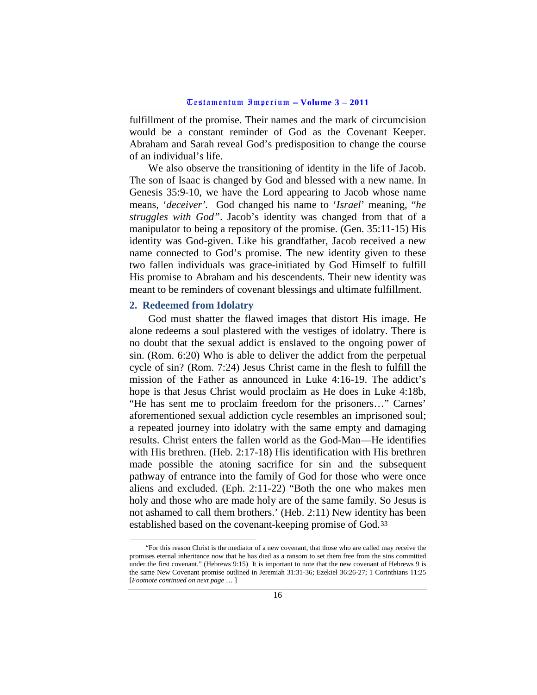fulfillment of the promise. Their names and the mark of circumcision would be a constant reminder of God as the Covenant Keeper. Abraham and Sarah reveal God's predisposition to change the course of an individual's life.

We also observe the transitioning of identity in the life of Jacob. The son of Isaac is changed by God and blessed with a new name. In Genesis 35:9-10, we have the Lord appearing to Jacob whose name means, '*deceiver'.* God changed his name to '*Israel*' meaning, "*he struggles with God"*. Jacob's identity was changed from that of a manipulator to being a repository of the promise. (Gen. 35:11-15) His identity was God-given. Like his grandfather, Jacob received a new name connected to God's promise. The new identity given to these two fallen individuals was grace-initiated by God Himself to fulfill His promise to Abraham and his descendents. Their new identity was meant to be reminders of covenant blessings and ultimate fulfillment.

## <span id="page-15-0"></span>**2. Redeemed from Idolatry**

God must shatter the flawed images that distort His image. He alone redeems a soul plastered with the vestiges of idolatry. There is no doubt that the sexual addict is enslaved to the ongoing power of sin. (Rom. 6:20) Who is able to deliver the addict from the perpetual cycle of sin? (Rom. 7:24) Jesus Christ came in the flesh to fulfill the mission of the Father as announced in Luke 4:16-19. The addict's hope is that Jesus Christ would proclaim as He does in Luke 4:18b, "He has sent me to proclaim freedom for the prisoners…" Carnes' aforementioned sexual addiction cycle resembles an imprisoned soul; a repeated journey into idolatry with the same empty and damaging results. Christ enters the fallen world as the God-Man—He identifies with His brethren. (Heb. 2:17-18) His identification with His brethren made possible the atoning sacrifice for sin and the subsequent pathway of entrance into the family of God for those who were once aliens and excluded. (Eph. 2:11-22) "Both the one who makes men holy and those who are made holy are of the same family. So Jesus is not ashamed to call them brothers.' (Heb. 2:11) New identity has been established based on the covenant-keeping promise of God.[33](#page-15-1)

<span id="page-15-1"></span> <sup>&</sup>quot;For this reason Christ is the mediator of a new covenant, that those who are called may receive the promises eternal inheritance now that he has died as a ransom to set them free from the sins committed under the first covenant." (Hebrews 9:15) It is important to note that the new covenant of Hebrews 9 is the same New Covenant promise outlined in Jeremiah 31:31-36; Ezekiel 36:26-27; 1 Corinthians 11:25 [*Footnote continued on next page* … ]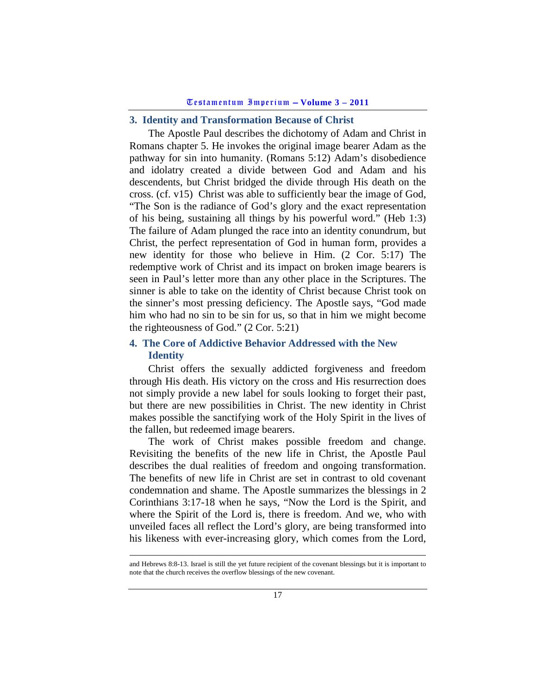# <span id="page-16-0"></span>**3. Identity and Transformation Because of Christ**

The Apostle Paul describes the dichotomy of Adam and Christ in Romans chapter 5. He invokes the original image bearer Adam as the pathway for sin into humanity. (Romans 5:12) Adam's disobedience and idolatry created a divide between God and Adam and his descendents, but Christ bridged the divide through His death on the cross. (cf. v15) Christ was able to sufficiently bear the image of God, "The Son is the radiance of God's glory and the exact representation of his being, sustaining all things by his powerful word." (Heb 1:3) The failure of Adam plunged the race into an identity conundrum, but Christ, the perfect representation of God in human form, provides a new identity for those who believe in Him. (2 Cor. 5:17) The redemptive work of Christ and its impact on broken image bearers is seen in Paul's letter more than any other place in the Scriptures. The sinner is able to take on the identity of Christ because Christ took on the sinner's most pressing deficiency. The Apostle says, "God made him who had no sin to be sin for us, so that in him we might become the righteousness of God." (2 Cor. 5:21)

# <span id="page-16-1"></span>**4. The Core of Addictive Behavior Addressed with the New Identity**

Christ offers the sexually addicted forgiveness and freedom through His death. His victory on the cross and His resurrection does not simply provide a new label for souls looking to forget their past, but there are new possibilities in Christ. The new identity in Christ makes possible the sanctifying work of the Holy Spirit in the lives of the fallen, but redeemed image bearers.

The work of Christ makes possible freedom and change. Revisiting the benefits of the new life in Christ, the Apostle Paul describes the dual realities of freedom and ongoing transformation. The benefits of new life in Christ are set in contrast to old covenant condemnation and shame. The Apostle summarizes the blessings in 2 Corinthians 3:17-18 when he says, "Now the Lord is the Spirit, and where the Spirit of the Lord is, there is freedom. And we, who with unveiled faces all reflect the Lord's glory, are being transformed into his likeness with ever-increasing glory, which comes from the Lord,

and Hebrews 8:8-13. Israel is still the yet future recipient of the covenant blessings but it is important to note that the church receives the overflow blessings of the new covenant.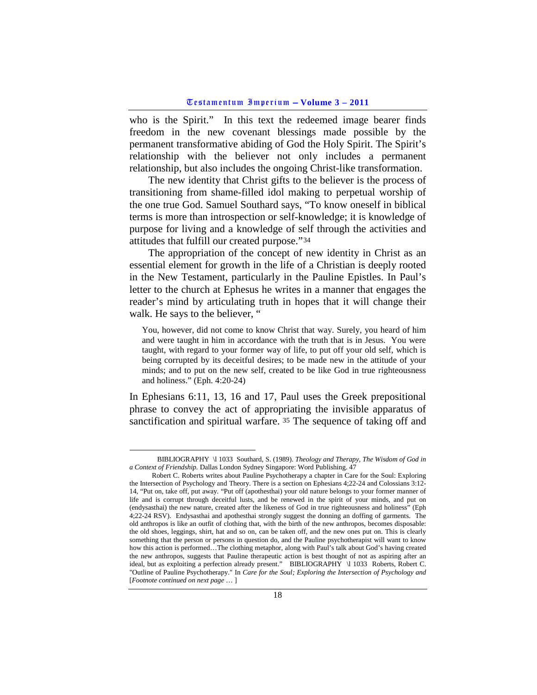who is the Spirit." In this text the redeemed image bearer finds freedom in the new covenant blessings made possible by the permanent transformative abiding of God the Holy Spirit. The Spirit's relationship with the believer not only includes a permanent relationship, but also includes the ongoing Christ-like transformation.

The new identity that Christ gifts to the believer is the process of transitioning from shame-filled idol making to perpetual worship of the one true God. Samuel Southard says, "To know oneself in biblical terms is more than introspection or self-knowledge; it is knowledge of purpose for living and a knowledge of self through the activities and attitudes that fulfill our created purpose."[34](#page-17-0)

The appropriation of the concept of new identity in Christ as an essential element for growth in the life of a Christian is deeply rooted in the New Testament, particularly in the Pauline Epistles. In Paul's letter to the church at Ephesus he writes in a manner that engages the reader's mind by articulating truth in hopes that it will change their walk. He says to the believer, "

You, however, did not come to know Christ that way. Surely, you heard of him and were taught in him in accordance with the truth that is in Jesus. You were taught, with regard to your former way of life, to put off your old self, which is being corrupted by its deceitful desires; to be made new in the attitude of your minds; and to put on the new self, created to be like God in true righteousness and holiness." (Eph. 4:20-24)

In Ephesians 6:11, 13, 16 and 17, Paul uses the Greek prepositional phrase to convey the act of appropriating the invisible apparatus of sanctification and spiritual warfare. [35](#page-17-1) The sequence of taking off and

<span id="page-17-0"></span>BIBLIOGRAPHY \l 1033 Southard, S. (1989). *Theology and Therapy, The Wisdom of God in a Context of Friendship.* Dallas London Sydney Singapore: Word Publishing. 47

<span id="page-17-1"></span>Robert C. Roberts writes about Pauline Psychotherapy a chapter in Care for the Soul: Exploring the Intersection of Psychology and Theory. There is a section on Ephesians 4;22-24 and Colossians 3:12- 14, "Put on, take off, put away. "Put off (apothesthai) your old nature belongs to your former manner of life and is corrupt through deceitful lusts, and be renewed in the spirit of your minds, and put on (endysasthai) the new nature, created after the likeness of God in true righteousness and holiness" (Eph 4;22-24 RSV). Endysasthai and apothesthai strongly suggest the donning an doffing of garments. The old anthropos is like an outfit of clothing that, with the birth of the new anthropos, becomes disposable: the old shoes, leggings, shirt, hat and so on, can be taken off, and the new ones put on. This is clearly something that the person or persons in question do, and the Pauline psychotherapist will want to know how this action is performed…The clothing metaphor, along with Paul's talk about God's having created the new anthropos, suggests that Pauline therapeutic action is best thought of not as aspiring after an ideal, but as exploiting a perfection already present." BIBLIOGRAPHY \1 1033 Roberts, Robert C. "Outline of Pauline Psychotherapy." In *Care for the Soul; Exploring the Intersection of Psychology and*  [*Footnote continued on next page* … ]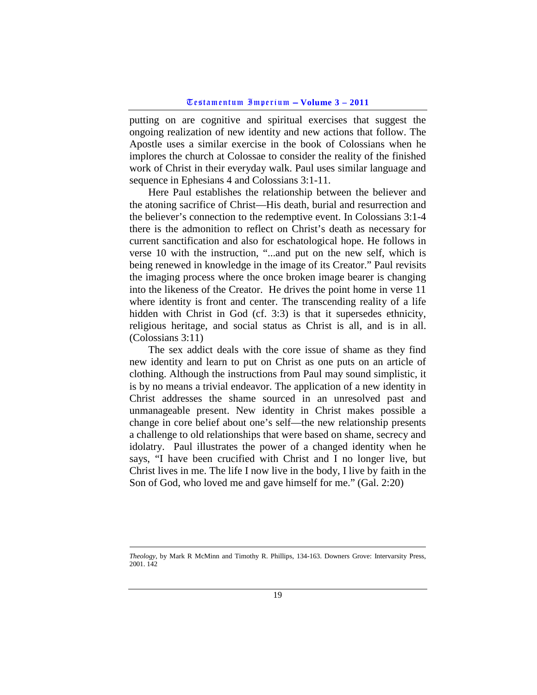putting on are cognitive and spiritual exercises that suggest the ongoing realization of new identity and new actions that follow. The Apostle uses a similar exercise in the book of Colossians when he implores the church at Colossae to consider the reality of the finished work of Christ in their everyday walk. Paul uses similar language and sequence in Ephesians 4 and Colossians 3:1-11.

Here Paul establishes the relationship between the believer and the atoning sacrifice of Christ—His death, burial and resurrection and the believer's connection to the redemptive event. In Colossians 3:1-4 there is the admonition to reflect on Christ's death as necessary for current sanctification and also for eschatological hope. He follows in verse 10 with the instruction, "...and put on the new self, which is being renewed in knowledge in the image of its Creator." Paul revisits the imaging process where the once broken image bearer is changing into the likeness of the Creator. He drives the point home in verse 11 where identity is front and center. The transcending reality of a life hidden with Christ in God (cf. 3:3) is that it supersedes ethnicity, religious heritage, and social status as Christ is all, and is in all. (Colossians 3:11)

The sex addict deals with the core issue of shame as they find new identity and learn to put on Christ as one puts on an article of clothing. Although the instructions from Paul may sound simplistic, it is by no means a trivial endeavor. The application of a new identity in Christ addresses the shame sourced in an unresolved past and unmanageable present. New identity in Christ makes possible a change in core belief about one's self—the new relationship presents a challenge to old relationships that were based on shame, secrecy and idolatry. Paul illustrates the power of a changed identity when he says, "I have been crucified with Christ and I no longer live, but Christ lives in me. The life I now live in the body, I live by faith in the Son of God, who loved me and gave himself for me." (Gal. 2:20)

 $\overline{a}$ 

*Theology*, by Mark R McMinn and Timothy R. Phillips, 134-163. Downers Grove: Intervarsity Press, 2001. 142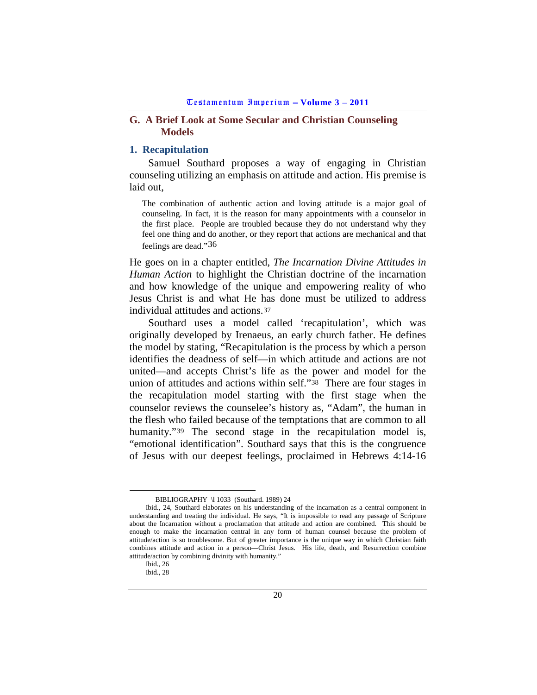## <span id="page-19-0"></span>**G. A Brief Look at Some Secular and Christian Counseling Models**

## <span id="page-19-1"></span>**1. Recapitulation**

Samuel Southard proposes a way of engaging in Christian counseling utilizing an emphasis on attitude and action. His premise is laid out,

The combination of authentic action and loving attitude is a major goal of counseling. In fact, it is the reason for many appointments with a counselor in the first place. People are troubled because they do not understand why they feel one thing and do another, or they report that actions are mechanical and that feelings are dead."[36](#page-19-2)

He goes on in a chapter entitled, *The Incarnation Divine Attitudes in Human Action* to highlight the Christian doctrine of the incarnation and how knowledge of the unique and empowering reality of who Jesus Christ is and what He has done must be utilized to address individual attitudes and actions.[37](#page-19-3)

Southard uses a model called 'recapitulation', which was originally developed by Irenaeus, an early church father. He defines the model by stating, "Recapitulation is the process by which a person identifies the deadness of self—in which attitude and actions are not united—and accepts Christ's life as the power and model for the union of attitudes and actions within self."[38](#page-19-4) There are four stages in the recapitulation model starting with the first stage when the counselor reviews the counselee's history as, "Adam", the human in the flesh who failed because of the temptations that are common to all humanity."<sup>[39](#page-19-5)</sup> The second stage in the recapitulation model is, "emotional identification". Southard says that this is the congruence of Jesus with our deepest feelings, proclaimed in Hebrews 4:14-16

BIBLIOGRAPHY \l 1033 (Southard. 1989) 24

<span id="page-19-5"></span><span id="page-19-4"></span><span id="page-19-3"></span><span id="page-19-2"></span>Ibid., 24, Southard elaborates on his understanding of the incarnation as a central component in understanding and treating the individual. He says, "It is impossible to read any passage of Scripture about the Incarnation without a proclamation that attitude and action are combined. This should be enough to make the incarnation central in any form of human counsel because the problem of attitude/action is so troublesome. But of greater importance is the unique way in which Christian faith combines attitude and action in a person—Christ Jesus. His life, death, and Resurrection combine attitude/action by combining divinity with humanity."

Ibid., 26

Ibid., 28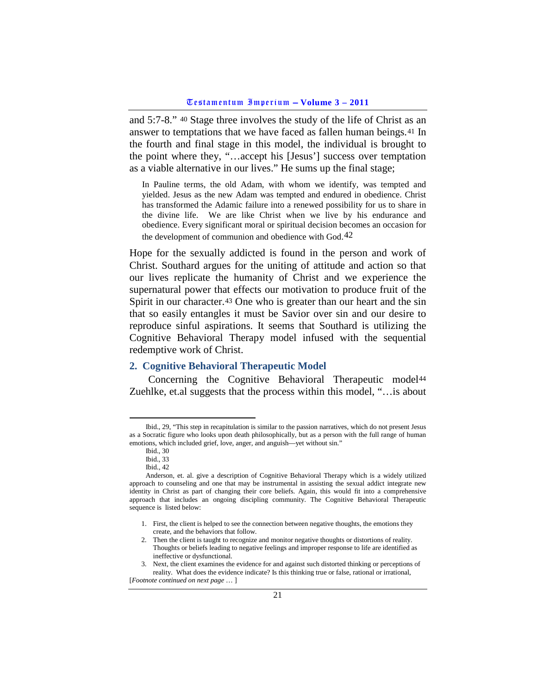and 5:7-8." [40](#page-20-1) Stage three involves the study of the life of Christ as an answer to temptations that we have faced as fallen human beings.[41](#page-20-2) In the fourth and final stage in this model, the individual is brought to the point where they, "…accept his [Jesus'] success over temptation as a viable alternative in our lives." He sums up the final stage;

In Pauline terms, the old Adam, with whom we identify, was tempted and yielded. Jesus as the new Adam was tempted and endured in obedience. Christ has transformed the Adamic failure into a renewed possibility for us to share in the divine life. We are like Christ when we live by his endurance and obedience. Every significant moral or spiritual decision becomes an occasion for the development of communion and obedience with God.<sup>[42](#page-20-3)</sup>

Hope for the sexually addicted is found in the person and work of Christ. Southard argues for the uniting of attitude and action so that our lives replicate the humanity of Christ and we experience the supernatural power that effects our motivation to produce fruit of the Spirit in our character.<sup>[43](#page-20-4)</sup> One who is greater than our heart and the sin that so easily entangles it must be Savior over sin and our desire to reproduce sinful aspirations. It seems that Southard is utilizing the Cognitive Behavioral Therapy model infused with the sequential redemptive work of Christ.

#### <span id="page-20-0"></span>**2. Cognitive Behavioral Therapeutic Model**

Concerning the Cognitive Behavioral Therapeutic model<sup>[44](#page-20-5)</sup> Zuehlke, et.al suggests that the process within this model, "…is about

<span id="page-20-2"></span><span id="page-20-1"></span>Ibid., 29, "This step in recapitulation is similar to the passion narratives, which do not present Jesus as a Socratic figure who looks upon death philosophically, but as a person with the full range of human emotions, which included grief, love, anger, and anguish—yet without sin."

Ibid., 30

Ibid., 33

Ibid., 42

<span id="page-20-5"></span><span id="page-20-4"></span><span id="page-20-3"></span>Anderson, et. al. give a description of Cognitive Behavioral Therapy which is a widely utilized approach to counseling and one that may be instrumental in assisting the sexual addict integrate new identity in Christ as part of changing their core beliefs. Again, this would fit into a comprehensive approach that includes an ongoing discipling community. The Cognitive Behavioral Therapeutic sequence is listed below:

<sup>1.</sup> First, the client is helped to see the connection between negative thoughts, the emotions they create, and the behaviors that follow.

<sup>2.</sup> Then the client is taught to recognize and monitor negative thoughts or distortions of reality. Thoughts or beliefs leading to negative feelings and improper response to life are identified as ineffective or dysfunctional.

<sup>3.</sup> Next, the client examines the evidence for and against such distorted thinking or perceptions of reality. What does the evidence indicate? Is this thinking true or false, rational or irrational, [*Footnote continued on next page* … ]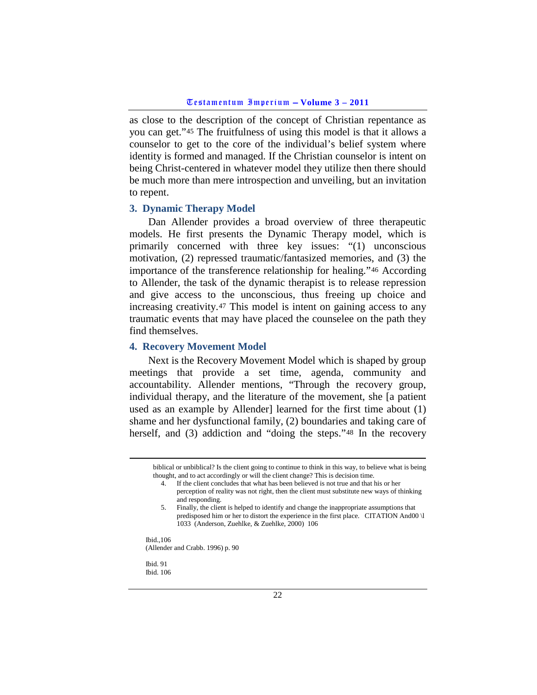as close to the description of the concept of Christian repentance as you can get."[45](#page-21-2) The fruitfulness of using this model is that it allows a counselor to get to the core of the individual's belief system where identity is formed and managed. If the Christian counselor is intent on being Christ-centered in whatever model they utilize then there should be much more than mere introspection and unveiling, but an invitation to repent.

#### <span id="page-21-0"></span>**3. Dynamic Therapy Model**

Dan Allender provides a broad overview of three therapeutic models. He first presents the Dynamic Therapy model, which is primarily concerned with three key issues: "(1) unconscious motivation, (2) repressed traumatic/fantasized memories, and (3) the importance of the transference relationship for healing."[46](#page-21-3) According to Allender, the task of the dynamic therapist is to release repression and give access to the unconscious, thus freeing up choice and increasing creativity.[47](#page-21-4) This model is intent on gaining access to any traumatic events that may have placed the counselee on the path they find themselves.

# <span id="page-21-1"></span>**4. Recovery Movement Model**

Next is the Recovery Movement Model which is shaped by group meetings that provide a set time, agenda, community and accountability. Allender mentions, "Through the recovery group, individual therapy, and the literature of the movement, she [a patient used as an example by Allender] learned for the first time about (1) shame and her dysfunctional family, (2) boundaries and taking care of herself, and (3) addiction and "doing the steps."<sup>[48](#page-21-5)</sup> In the recovery

- 4. If the client concludes that what has been believed is not true and that his or her perception of reality was not right, then the client must substitute new ways of thinking and responding.
- 5. Finally, the client is helped to identify and change the inappropriate assumptions that predisposed him or her to distort the experience in the first place. CITATION And00 \l 1033 (Anderson, Zuehlke, & Zuehlke, 2000) 106

<span id="page-21-3"></span><span id="page-21-2"></span>Ibid.,106 (Allender and Crabb. 1996) p. 90

<span id="page-21-5"></span><span id="page-21-4"></span>Ibid. 91 Ibid. 106

biblical or unbiblical? Is the client going to continue to think in this way, to believe what is being thought, and to act accordingly or will the client change? This is decision time.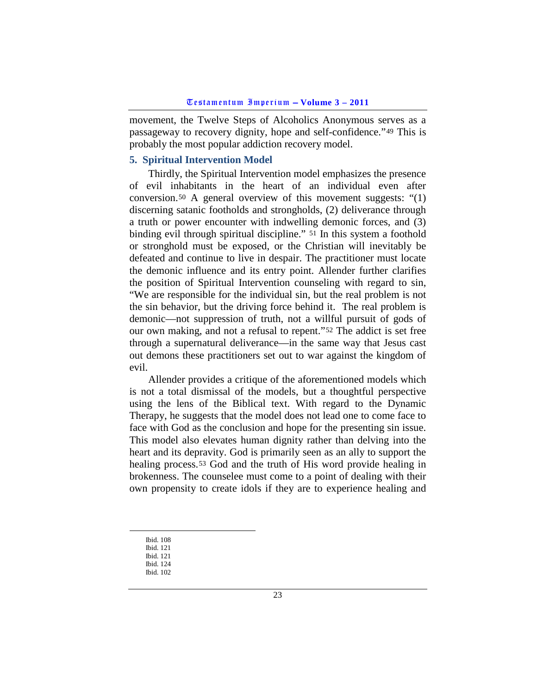movement, the Twelve Steps of Alcoholics Anonymous serves as a passageway to recovery dignity, hope and self-confidence."[49](#page-22-1) This is probably the most popular addiction recovery model.

### <span id="page-22-0"></span>**5. Spiritual Intervention Model**

Thirdly, the Spiritual Intervention model emphasizes the presence of evil inhabitants in the heart of an individual even after conversion.[50](#page-22-2) A general overview of this movement suggests: "(1) discerning satanic footholds and strongholds, (2) deliverance through a truth or power encounter with indwelling demonic forces, and (3) binding evil through spiritual discipline." [51](#page-22-3) In this system a foothold or stronghold must be exposed, or the Christian will inevitably be defeated and continue to live in despair. The practitioner must locate the demonic influence and its entry point. Allender further clarifies the position of Spiritual Intervention counseling with regard to sin, "We are responsible for the individual sin, but the real problem is not the sin behavior, but the driving force behind it. The real problem is demonic—not suppression of truth, not a willful pursuit of gods of our own making, and not a refusal to repent."[52](#page-22-4) The addict is set free through a supernatural deliverance—in the same way that Jesus cast out demons these practitioners set out to war against the kingdom of evil.

Allender provides a critique of the aforementioned models which is not a total dismissal of the models, but a thoughtful perspective using the lens of the Biblical text. With regard to the Dynamic Therapy, he suggests that the model does not lead one to come face to face with God as the conclusion and hope for the presenting sin issue. This model also elevates human dignity rather than delving into the heart and its depravity. God is primarily seen as an ally to support the healing process.[53](#page-22-5) God and the truth of His word provide healing in brokenness. The counselee must come to a point of dealing with their own propensity to create idols if they are to experience healing and

Ibid. 108

<span id="page-22-3"></span><span id="page-22-2"></span><span id="page-22-1"></span>Ibid. 121 Ibid. 121

<span id="page-22-4"></span>Ibid. 124

<span id="page-22-5"></span>Ibid. 102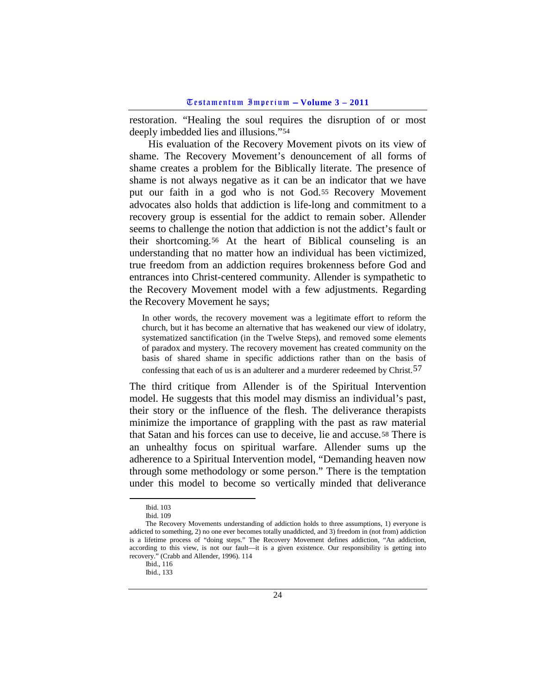restoration. "Healing the soul requires the disruption of or most deeply imbedded lies and illusions.["54](#page-23-0)

His evaluation of the Recovery Movement pivots on its view of shame. The Recovery Movement's denouncement of all forms of shame creates a problem for the Biblically literate. The presence of shame is not always negative as it can be an indicator that we have put our faith in a god who is not God.[55](#page-23-1) Recovery Movement advocates also holds that addiction is life-long and commitment to a recovery group is essential for the addict to remain sober. Allender seems to challenge the notion that addiction is not the addict's fault or their shortcoming.[56](#page-23-2) At the heart of Biblical counseling is an understanding that no matter how an individual has been victimized, true freedom from an addiction requires brokenness before God and entrances into Christ-centered community. Allender is sympathetic to the Recovery Movement model with a few adjustments. Regarding the Recovery Movement he says;

In other words, the recovery movement was a legitimate effort to reform the church, but it has become an alternative that has weakened our view of idolatry, systematized sanctification (in the Twelve Steps), and removed some elements of paradox and mystery. The recovery movement has created community on the basis of shared shame in specific addictions rather than on the basis of confessing that each of us is an adulterer and a murderer redeemed by Christ.[57](#page-23-3)

The third critique from Allender is of the Spiritual Intervention model. He suggests that this model may dismiss an individual's past, their story or the influence of the flesh. The deliverance therapists minimize the importance of grappling with the past as raw material that Satan and his forces can use to deceive, lie and accuse.[58](#page-23-4) There is an unhealthy focus on spiritual warfare. Allender sums up the adherence to a Spiritual Intervention model, "Demanding heaven now through some methodology or some person." There is the temptation under this model to become so vertically minded that deliverance

Ibid. 103

Ibid. 109

<span id="page-23-4"></span><span id="page-23-3"></span><span id="page-23-2"></span><span id="page-23-1"></span><span id="page-23-0"></span>The Recovery Movements understanding of addiction holds to three assumptions, 1) everyone is addicted to something, 2) no one ever becomes totally unaddicted, and 3) freedom in (not from) addiction is a lifetime process of "doing steps." The Recovery Movement defines addiction, "An addiction, according to this view, is not our fault—it is a given existence. Our responsibility is getting into recovery." (Crabb and Allender, 1996). 114

Ibid., 116

Ibid., 133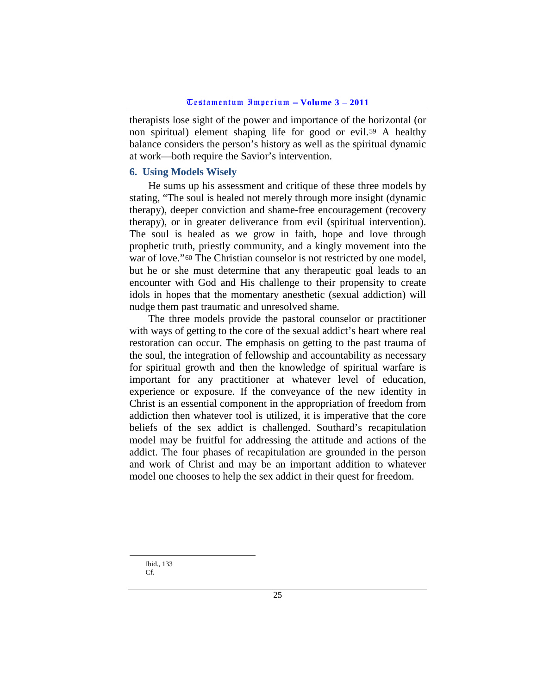therapists lose sight of the power and importance of the horizontal (or non spiritual) element shaping life for good or evil.[59](#page-24-1) A healthy balance considers the person's history as well as the spiritual dynamic at work—both require the Savior's intervention.

### <span id="page-24-0"></span>**6. Using Models Wisely**

He sums up his assessment and critique of these three models by stating, "The soul is healed not merely through more insight (dynamic therapy), deeper conviction and shame-free encouragement (recovery therapy), or in greater deliverance from evil (spiritual intervention). The soul is healed as we grow in faith, hope and love through prophetic truth, priestly community, and a kingly movement into the war of love."<sup>[60](#page-24-2)</sup> The Christian counselor is not restricted by one model, but he or she must determine that any therapeutic goal leads to an encounter with God and His challenge to their propensity to create idols in hopes that the momentary anesthetic (sexual addiction) will nudge them past traumatic and unresolved shame.

The three models provide the pastoral counselor or practitioner with ways of getting to the core of the sexual addict's heart where real restoration can occur. The emphasis on getting to the past trauma of the soul, the integration of fellowship and accountability as necessary for spiritual growth and then the knowledge of spiritual warfare is important for any practitioner at whatever level of education, experience or exposure. If the conveyance of the new identity in Christ is an essential component in the appropriation of freedom from addiction then whatever tool is utilized, it is imperative that the core beliefs of the sex addict is challenged. Southard's recapitulation model may be fruitful for addressing the attitude and actions of the addict. The four phases of recapitulation are grounded in the person and work of Christ and may be an important addition to whatever model one chooses to help the sex addict in their quest for freedom.

<span id="page-24-2"></span><span id="page-24-1"></span> Ibid., 133 Cf.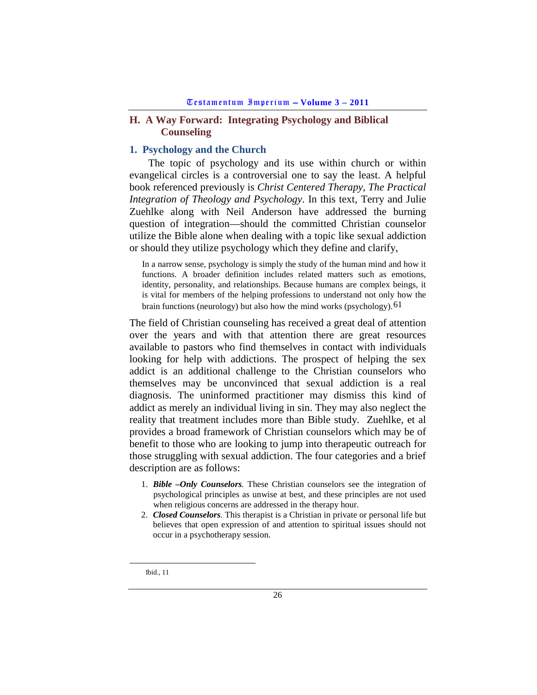# <span id="page-25-0"></span>**H. A Way Forward: Integrating Psychology and Biblical Counseling**

# <span id="page-25-1"></span>**1. Psychology and the Church**

The topic of psychology and its use within church or within evangelical circles is a controversial one to say the least. A helpful book referenced previously is *Christ Centered Therapy, The Practical Integration of Theology and Psychology*. In this text, Terry and Julie Zuehlke along with Neil Anderson have addressed the burning question of integration—should the committed Christian counselor utilize the Bible alone when dealing with a topic like sexual addiction or should they utilize psychology which they define and clarify,

In a narrow sense, psychology is simply the study of the human mind and how it functions. A broader definition includes related matters such as emotions, identity, personality, and relationships. Because humans are complex beings, it is vital for members of the helping professions to understand not only how the brain functions (neurology) but also how the mind works (psychology).[61](#page-25-2)

The field of Christian counseling has received a great deal of attention over the years and with that attention there are great resources available to pastors who find themselves in contact with individuals looking for help with addictions. The prospect of helping the sex addict is an additional challenge to the Christian counselors who themselves may be unconvinced that sexual addiction is a real diagnosis. The uninformed practitioner may dismiss this kind of addict as merely an individual living in sin. They may also neglect the reality that treatment includes more than Bible study. Zuehlke, et al provides a broad framework of Christian counselors which may be of benefit to those who are looking to jump into therapeutic outreach for those struggling with sexual addiction. The four categories and a brief description are as follows:

- 1. *Bible –Only Counselors.* These Christian counselors see the integration of psychological principles as unwise at best, and these principles are not used when religious concerns are addressed in the therapy hour.
- 2. *Closed Counselors.* This therapist is a Christian in private or personal life but believes that open expression of and attention to spiritual issues should not occur in a psychotherapy session.

<span id="page-25-2"></span>Ibid., 11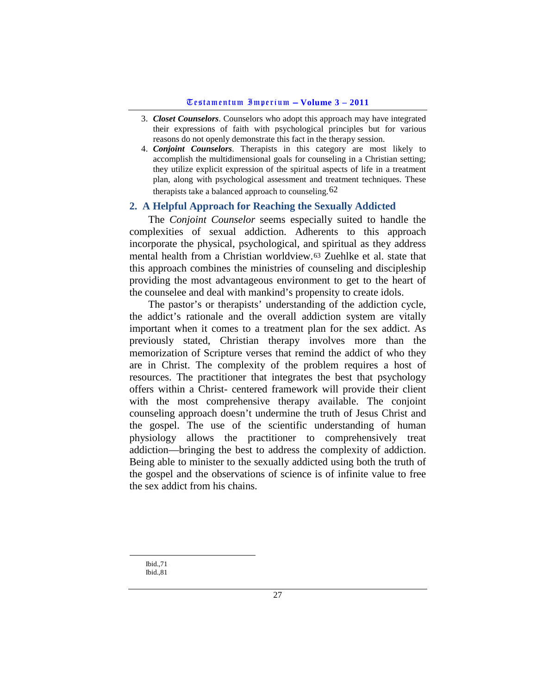- 3. *Closet Counselors*. Counselors who adopt this approach may have integrated their expressions of faith with psychological principles but for various reasons do not openly demonstrate this fact in the therapy session.
- 4. *Conjoint Counselors*. Therapists in this category are most likely to accomplish the multidimensional goals for counseling in a Christian setting; they utilize explicit expression of the spiritual aspects of life in a treatment plan, along with psychological assessment and treatment techniques. These therapists take a balanced approach to counseling.  $62$

# <span id="page-26-0"></span>**2. A Helpful Approach for Reaching the Sexually Addicted**

The *Conjoint Counselor* seems especially suited to handle the complexities of sexual addiction. Adherents to this approach incorporate the physical, psychological, and spiritual as they address mental health from a Christian worldview.[63](#page-26-2) Zuehlke et al. state that this approach combines the ministries of counseling and discipleship providing the most advantageous environment to get to the heart of the counselee and deal with mankind's propensity to create idols.

The pastor's or therapists' understanding of the addiction cycle, the addict's rationale and the overall addiction system are vitally important when it comes to a treatment plan for the sex addict. As previously stated, Christian therapy involves more than the memorization of Scripture verses that remind the addict of who they are in Christ. The complexity of the problem requires a host of resources. The practitioner that integrates the best that psychology offers within a Christ- centered framework will provide their client with the most comprehensive therapy available. The conjoint counseling approach doesn't undermine the truth of Jesus Christ and the gospel. The use of the scientific understanding of human physiology allows the practitioner to comprehensively treat addiction—bringing the best to address the complexity of addiction. Being able to minister to the sexually addicted using both the truth of the gospel and the observations of science is of infinite value to free the sex addict from his chains.

<span id="page-26-2"></span><span id="page-26-1"></span> Ibid.,71 Ibid.,81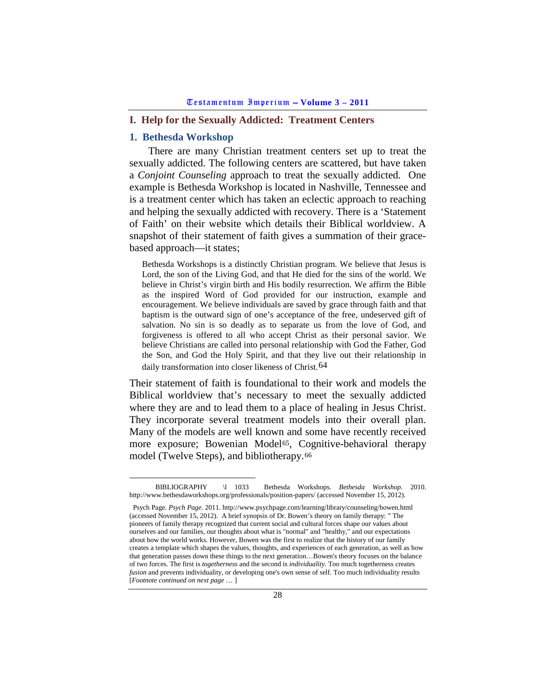### <span id="page-27-0"></span>**I. Help for the Sexually Addicted: Treatment Centers**

## <span id="page-27-1"></span>**1. Bethesda Workshop**

There are many Christian treatment centers set up to treat the sexually addicted. The following centers are scattered, but have taken a *Conjoint Counseling* approach to treat the sexually addicted. One example is Bethesda Workshop is located in Nashville, Tennessee and is a treatment center which has taken an eclectic approach to reaching and helping the sexually addicted with recovery. There is a 'Statement of Faith' on their website which details their Biblical worldview. A snapshot of their statement of faith gives a summation of their gracebased approach—it states;

Bethesda Workshops is a distinctly Christian program. We believe that Jesus is Lord, the son of the Living God, and that He died for the sins of the world. We believe in Christ's virgin birth and His bodily resurrection. We affirm the Bible as the inspired Word of God provided for our instruction, example and encouragement. We believe individuals are saved by grace through faith and that baptism is the outward sign of one's acceptance of the free, undeserved gift of salvation. No sin is so deadly as to separate us from the love of God, and forgiveness is offered to all who accept Christ as their personal savior. We believe Christians are called into personal relationship with God the Father, God the Son, and God the Holy Spirit, and that they live out their relationship in daily transformation into closer likeness of Christ.<sup>[64](#page-27-2)</sup>

Their statement of faith is foundational to their work and models the Biblical worldview that's necessary to meet the sexually addicted where they are and to lead them to a place of healing in Jesus Christ. They incorporate several treatment models into their overall plan. Many of the models are well known and some have recently received more exposure; Bowenian Model<sup>[65](#page-27-3)</sup>, Cognitive-behavioral therapy model (Twelve Steps), and bibliotherapy.[66](#page-27-4)

<span id="page-27-4"></span><span id="page-27-2"></span>BIBLIOGRAPHY \l 1033 Bethesda Workshops. *Bethesda Workshop.* 2010. http://www.bethesdaworkshops.org/professionals/position-papers/ (accessed November 15, 2012).

<span id="page-27-3"></span>Psych Page. *Psych Page.* 2011. http://www.psychpage.com/learning/library/counseling/bowen.html (accessed November 15, 2012). A brief synopsis of Dr. Bowen's theory on family therapy: " The pioneers of family therapy recognized that current social and cultural forces shape our values about ourselves and our families, our thoughts about what is "normal" and "healthy," and our expectations about how the world works. However, Bowen was the first to realize that the history of our family creates a template which shapes the values, thoughts, and experiences of each generation, as well as how that generation passes down these things to the next generation…Bowen's theory focuses on the balance of two forces. The first is *togetherness* and the second is *individuality*. Too much togetherness creates *fusion* and prevents individuality, or developing one's own sense of self. Too much individuality results [*Footnote continued on next page* … ]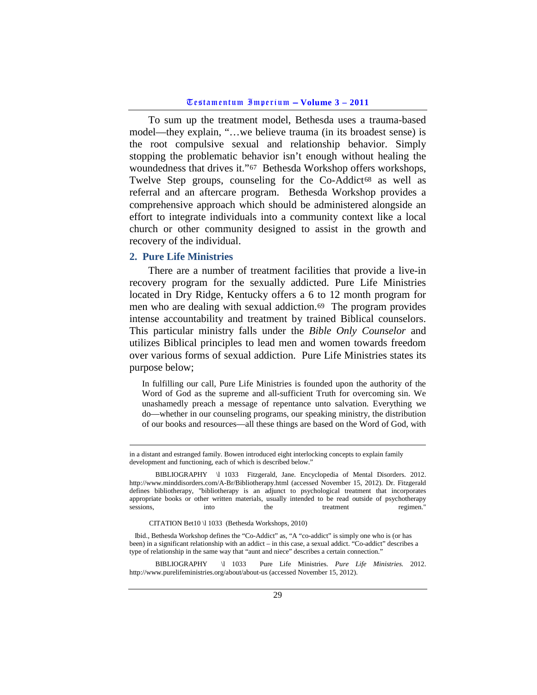To sum up the treatment model, Bethesda uses a trauma-based model—they explain, "…we believe trauma (in its broadest sense) is the root compulsive sexual and relationship behavior. Simply stopping the problematic behavior isn't enough without healing the woundedness that drives it."[67](#page-28-1) Bethesda Workshop offers workshops, Twelve Step groups, counseling for the Co-Addict<sup>[68](#page-28-2)</sup> as well as referral and an aftercare program. Bethesda Workshop provides a comprehensive approach which should be administered alongside an effort to integrate individuals into a community context like a local church or other community designed to assist in the growth and recovery of the individual.

### <span id="page-28-0"></span>**2. Pure Life Ministries**

There are a number of treatment facilities that provide a live-in recovery program for the sexually addicted. Pure Life Ministries located in Dry Ridge, Kentucky offers a 6 to 12 month program for men who are dealing with sexual addiction.[69](#page-28-3) The program provides intense accountability and treatment by trained Biblical counselors. This particular ministry falls under the *Bible Only Counselor* and utilizes Biblical principles to lead men and women towards freedom over various forms of sexual addiction. Pure Life Ministries states its purpose below;

In fulfilling our call, Pure Life Ministries is founded upon the authority of the Word of God as the supreme and all-sufficient Truth for overcoming sin. We unashamedly preach a message of repentance unto salvation. Everything we do—whether in our counseling programs, our speaking ministry, the distribution of our books and resources—all these things are based on the Word of God, with

CITATION Bet10 \l 1033 (Bethesda Workshops, 2010)

<span id="page-28-2"></span><span id="page-28-1"></span> Ibid., Bethesda Workshop defines the "Co-Addict" as, "A "co-addict" is simply one who is (or has been) in a significant relationship with an addict – in this case, a sexual addict. "Co-addict" describes a type of relationship in the same way that "aunt and niece" describes a certain connection."

<span id="page-28-3"></span> BIBLIOGRAPHY \l 1033 Pure Life Ministries. *Pure Life Ministries.* 2012. http://www.purelifeministries.org/about/about-us (accessed November 15, 2012).

in a distant and estranged family. Bowen introduced eight interlocking concepts to explain family development and functioning, each of which is described below."

BIBLIOGRAPHY \l 1033 Fitzgerald, Jane. Encyclopedia of Mental Disorders. 2012. http://www.minddisorders.com/A-Br/Bibliotherapy.html (accessed November 15, 2012). Dr. Fitzgerald defines bibliotherapy, "bibliotherapy is an adjunct to psychological treatment that incorporates appropriate books or other written materials, usually intended to be read outside of psychotherapy sessions, into the treatment regimen."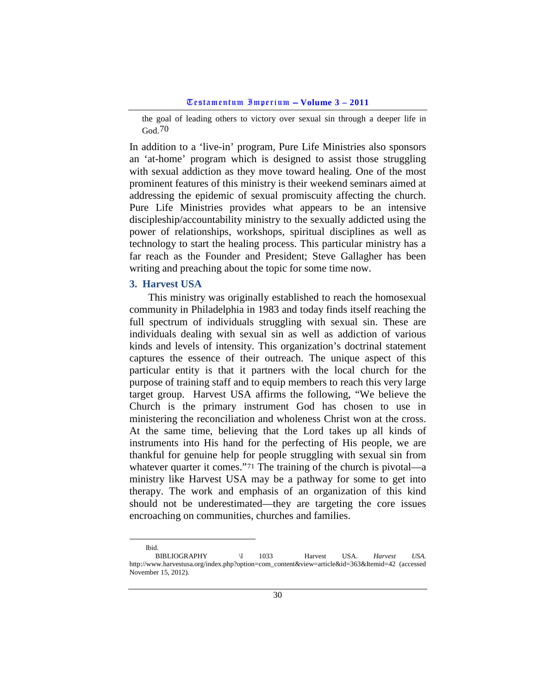the goal of leading others to victory over sexual sin through a deeper life in God.[70](#page-29-1)

In addition to a 'live-in' program, Pure Life Ministries also sponsors an 'at-home' program which is designed to assist those struggling with sexual addiction as they move toward healing. One of the most prominent features of this ministry is their weekend seminars aimed at addressing the epidemic of sexual promiscuity affecting the church. Pure Life Ministries provides what appears to be an intensive discipleship/accountability ministry to the sexually addicted using the power of relationships, workshops, spiritual disciplines as well as technology to start the healing process. This particular ministry has a far reach as the Founder and President; Steve Gallagher has been writing and preaching about the topic for some time now.

## <span id="page-29-0"></span>**3. Harvest USA**

Ibid.

This ministry was originally established to reach the homosexual community in Philadelphia in 1983 and today finds itself reaching the full spectrum of individuals struggling with sexual sin. These are individuals dealing with sexual sin as well as addiction of various kinds and levels of intensity. This organization's doctrinal statement captures the essence of their outreach. The unique aspect of this particular entity is that it partners with the local church for the purpose of training staff and to equip members to reach this very large target group. Harvest USA affirms the following, "We believe the Church is the primary instrument God has chosen to use in ministering the reconciliation and wholeness Christ won at the cross. At the same time, believing that the Lord takes up all kinds of instruments into His hand for the perfecting of His people, we are thankful for genuine help for people struggling with sexual sin from whatever quarter it comes."<sup>[71](#page-29-2)</sup> The training of the church is pivotal—a ministry like Harvest USA may be a pathway for some to get into therapy. The work and emphasis of an organization of this kind should not be underestimated—they are targeting the core issues encroaching on communities, churches and families.

<span id="page-29-2"></span><span id="page-29-1"></span>BIBLIOGRAPHY \l 1033 Harvest USA. *Harvest USA.* http://www.harvestusa.org/index.php?option=com\_content&view=article&id=363&Itemid=42 (accessed November 15, 2012).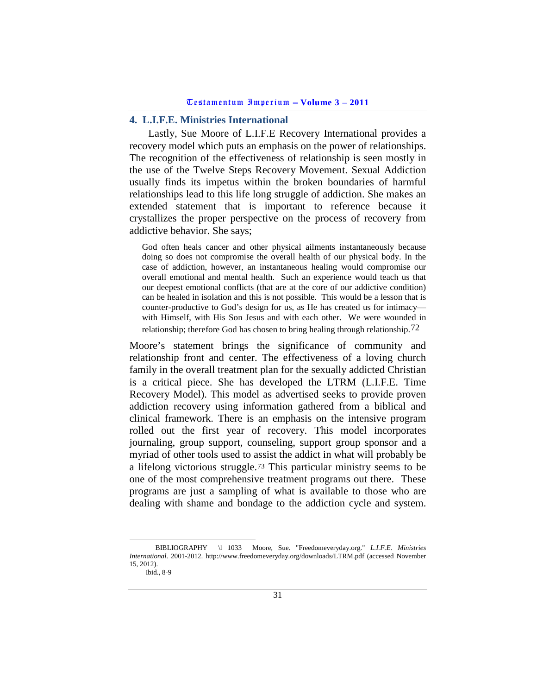## <span id="page-30-0"></span>**4. L.I.F.E. Ministries International**

Lastly, Sue Moore of L.I.F.E Recovery International provides a recovery model which puts an emphasis on the power of relationships. The recognition of the effectiveness of relationship is seen mostly in the use of the Twelve Steps Recovery Movement. Sexual Addiction usually finds its impetus within the broken boundaries of harmful relationships lead to this life long struggle of addiction. She makes an extended statement that is important to reference because it crystallizes the proper perspective on the process of recovery from addictive behavior. She says;

God often heals cancer and other physical ailments instantaneously because doing so does not compromise the overall health of our physical body. In the case of addiction, however, an instantaneous healing would compromise our overall emotional and mental health. Such an experience would teach us that our deepest emotional conflicts (that are at the core of our addictive condition) can be healed in isolation and this is not possible. This would be a lesson that is counter-productive to God's design for us, as He has created us for intimacy with Himself, with His Son Jesus and with each other. We were wounded in relationship; therefore God has chosen to bring healing through relationship.[72](#page-30-1)

Moore's statement brings the significance of community and relationship front and center. The effectiveness of a loving church family in the overall treatment plan for the sexually addicted Christian is a critical piece. She has developed the LTRM (L.I.F.E. Time Recovery Model). This model as advertised seeks to provide proven addiction recovery using information gathered from a biblical and clinical framework. There is an emphasis on the intensive program rolled out the first year of recovery. This model incorporates journaling, group support, counseling, support group sponsor and a myriad of other tools used to assist the addict in what will probably be a lifelong victorious struggle.[73](#page-30-2) This particular ministry seems to be one of the most comprehensive treatment programs out there. These programs are just a sampling of what is available to those who are dealing with shame and bondage to the addiction cycle and system.

<span id="page-30-2"></span><span id="page-30-1"></span>BIBLIOGRAPHY \l 1033 Moore, Sue. "Freedomeveryday.org." *L.I.F.E. Ministries International.* 2001-2012. http://www.freedomeveryday.org/downloads/LTRM.pdf (accessed November 15, 2012).

Ibid., 8-9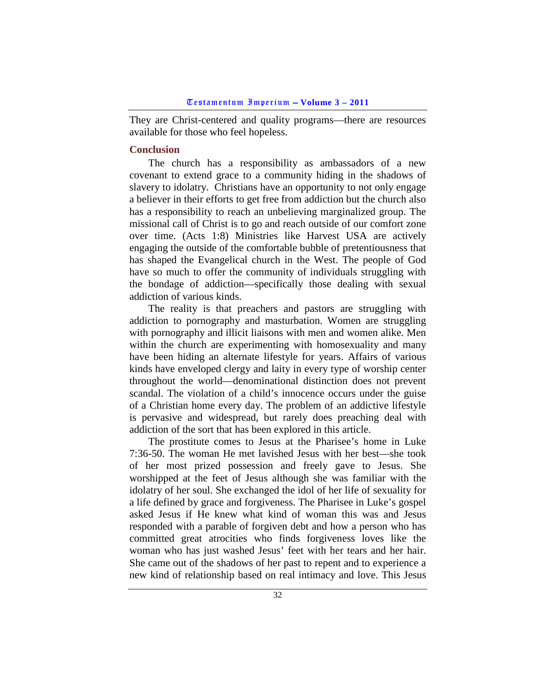They are Christ-centered and quality programs—there are resources available for those who feel hopeless.

## <span id="page-31-0"></span>**Conclusion**

The church has a responsibility as ambassadors of a new covenant to extend grace to a community hiding in the shadows of slavery to idolatry. Christians have an opportunity to not only engage a believer in their efforts to get free from addiction but the church also has a responsibility to reach an unbelieving marginalized group. The missional call of Christ is to go and reach outside of our comfort zone over time. (Acts 1:8) Ministries like Harvest USA are actively engaging the outside of the comfortable bubble of pretentiousness that has shaped the Evangelical church in the West. The people of God have so much to offer the community of individuals struggling with the bondage of addiction—specifically those dealing with sexual addiction of various kinds.

The reality is that preachers and pastors are struggling with addiction to pornography and masturbation. Women are struggling with pornography and illicit liaisons with men and women alike. Men within the church are experimenting with homosexuality and many have been hiding an alternate lifestyle for years. Affairs of various kinds have enveloped clergy and laity in every type of worship center throughout the world—denominational distinction does not prevent scandal. The violation of a child's innocence occurs under the guise of a Christian home every day. The problem of an addictive lifestyle is pervasive and widespread, but rarely does preaching deal with addiction of the sort that has been explored in this article.

The prostitute comes to Jesus at the Pharisee's home in Luke 7:36-50. The woman He met lavished Jesus with her best—she took of her most prized possession and freely gave to Jesus. She worshipped at the feet of Jesus although she was familiar with the idolatry of her soul. She exchanged the idol of her life of sexuality for a life defined by grace and forgiveness. The Pharisee in Luke's gospel asked Jesus if He knew what kind of woman this was and Jesus responded with a parable of forgiven debt and how a person who has committed great atrocities who finds forgiveness loves like the woman who has just washed Jesus' feet with her tears and her hair. She came out of the shadows of her past to repent and to experience a new kind of relationship based on real intimacy and love. This Jesus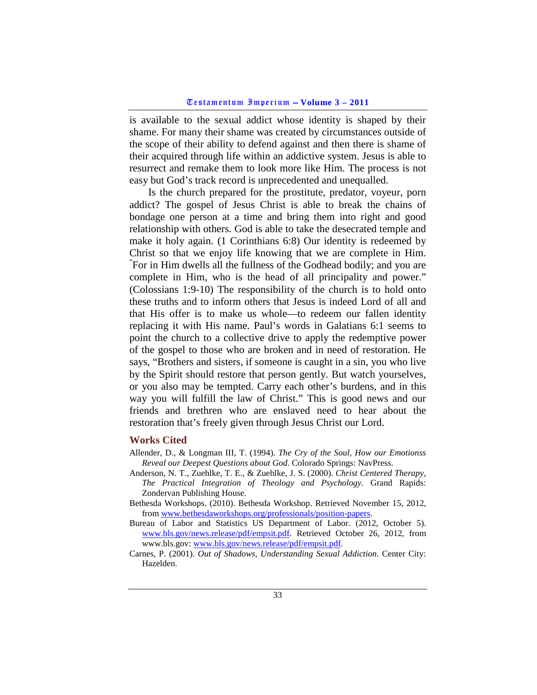is available to the sexual addict whose identity is shaped by their shame. For many their shame was created by circumstances outside of the scope of their ability to defend against and then there is shame of their acquired through life within an addictive system. Jesus is able to resurrect and remake them to look more like Him. The process is not easy but God's track record is unprecedented and unequalled.

Is the church prepared for the prostitute, predator, voyeur, porn addict? The gospel of Jesus Christ is able to break the chains of bondage one person at a time and bring them into right and good relationship with others. God is able to take the desecrated temple and make it holy again. (1 Corinthians 6:8) Our identity is redeemed by Christ so that we enjoy life knowing that we are complete in Him. For in Him dwells all the fullness of the Godhead bodily; and you are complete in Him, who is the head of all principality and power." (Colossians 1:9-10) The responsibility of the church is to hold onto these truths and to inform others that Jesus is indeed Lord of all and that His offer is to make us whole—to redeem our fallen identity replacing it with His name. Paul's words in Galatians 6:1 seems to point the church to a collective drive to apply the redemptive power of the gospel to those who are broken and in need of restoration. He says, "Brothers and sisters, if someone is caught in a sin, you who live by the Spirit should restore that person gently. But watch yourselves, or you also may be tempted. Carry each other's burdens, and in this way you will fulfill the law of Christ." This is good news and our friends and brethren who are enslaved need to hear about the restoration that's freely given through Jesus Christ our Lord.

### <span id="page-32-0"></span>**Works Cited**

- Allender, D., & Longman III, T. (1994). *The Cry of the Soul, How our Emotionss Reveal our Deepest Questions about God*. Colorado Springs: NavPress.
- Anderson, N. T., Zuehlke, T. E., & Zuehlke, J. S. (2000). *Christ Centered Therapy, The Practical Integration of Theology and Psychology*. Grand Rapids: Zondervan Publishing House.
- Bethesda Workshops. (2010). Bethesda Workshop. Retrieved November 15, 2012, from [www.bethesdaworkshops.org/professionals/position-papers.](http://www.bethesdaworkshops.org/professionals/position-papers)
- Bureau of Labor and Statistics US Department of Labor. (2012, October 5). [www.bls.gov/news.release/pdf/empsit.pdf.](http://www.bls.gov/news.release/pdf/empsit.pdf) Retrieved October 26, 2012, from www.bls.gov[: www.bls.gov/news.release/pdf/empsit.pdf.](http://www.bls.gov/news.release/pdf/empsit.pdf)
- Carnes, P. (2001). *Out of Shadows, Understanding Sexual Addiction*. Center City: Hazelden.